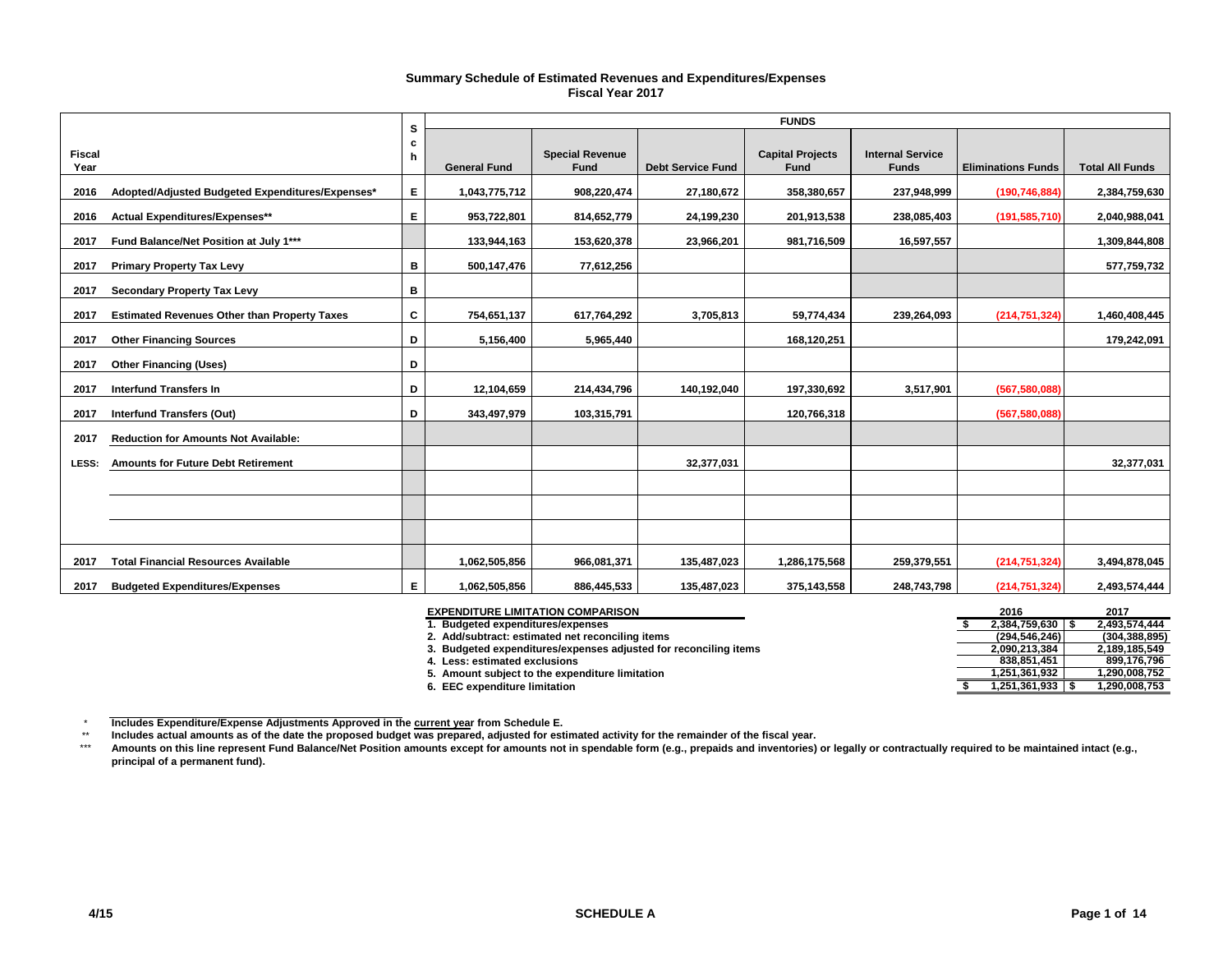### **Summary Schedule of Estimated Revenues and Expenditures/Expenses Fiscal Year 2017**

|                       |                                                     | s      | <b>FUNDS</b>        |                                |                          |                                 |                                         |                           |                        |  |  |  |
|-----------------------|-----------------------------------------------------|--------|---------------------|--------------------------------|--------------------------|---------------------------------|-----------------------------------------|---------------------------|------------------------|--|--|--|
| <b>Fiscal</b><br>Year |                                                     | c<br>h | <b>General Fund</b> | <b>Special Revenue</b><br>Fund | <b>Debt Service Fund</b> | <b>Capital Projects</b><br>Fund | <b>Internal Service</b><br><b>Funds</b> | <b>Eliminations Funds</b> | <b>Total All Funds</b> |  |  |  |
| 2016                  | Adopted/Adjusted Budgeted Expenditures/Expenses*    | E.     | 1,043,775,712       | 908,220,474                    | 27,180,672               | 358,380,657                     | 237,948,999                             | (190, 746, 884)           | 2,384,759,630          |  |  |  |
| 2016                  | Actual Expenditures/Expenses**                      | E.     | 953,722,801         | 814,652,779                    | 24,199,230               | 201,913,538                     | 238,085,403                             | (191, 585, 710)           | 2,040,988,041          |  |  |  |
| 2017                  | Fund Balance/Net Position at July 1***              |        | 133,944,163         | 153,620,378                    | 23,966,201               | 981,716,509                     | 16,597,557                              |                           | 1,309,844,808          |  |  |  |
| 2017                  | <b>Primary Property Tax Levy</b>                    | в      | 500,147,476         | 77,612,256                     |                          |                                 |                                         |                           | 577,759,732            |  |  |  |
| 2017                  | <b>Secondary Property Tax Levy</b>                  | в      |                     |                                |                          |                                 |                                         |                           |                        |  |  |  |
| 2017                  | <b>Estimated Revenues Other than Property Taxes</b> | C      | 754,651,137         | 617,764,292                    | 3,705,813                | 59,774,434                      | 239,264,093                             | (214, 751, 324)           | 1,460,408,445          |  |  |  |
| 2017                  | <b>Other Financing Sources</b>                      | D      | 5,156,400           | 5,965,440                      |                          | 168,120,251                     |                                         |                           | 179,242,091            |  |  |  |
| 2017                  | <b>Other Financing (Uses)</b>                       | D      |                     |                                |                          |                                 |                                         |                           |                        |  |  |  |
| 2017                  | <b>Interfund Transfers In</b>                       | D      | 12,104,659          | 214,434,796                    | 140,192,040              | 197,330,692                     | 3,517,901                               | (567, 580, 088)           |                        |  |  |  |
| 2017                  | <b>Interfund Transfers (Out)</b>                    | D      | 343,497,979         | 103,315,791                    |                          | 120,766,318                     |                                         | (567, 580, 088)           |                        |  |  |  |
| 2017                  | <b>Reduction for Amounts Not Available:</b>         |        |                     |                                |                          |                                 |                                         |                           |                        |  |  |  |
| LESS:                 | <b>Amounts for Future Debt Retirement</b>           |        |                     |                                | 32,377,031               |                                 |                                         |                           | 32,377,031             |  |  |  |
|                       |                                                     |        |                     |                                |                          |                                 |                                         |                           |                        |  |  |  |
|                       |                                                     |        |                     |                                |                          |                                 |                                         |                           |                        |  |  |  |
|                       |                                                     |        |                     |                                |                          |                                 |                                         |                           |                        |  |  |  |
| 2017                  | <b>Total Financial Resources Available</b>          |        | 1,062,505,856       | 966,081,371                    | 135,487,023              | 1,286,175,568                   | 259,379,551                             | (214, 751, 324)           | 3,494,878,045          |  |  |  |
| 2017                  | <b>Budgeted Expenditures/Expenses</b>               | E.     | 1,062,505,856       | 886,445,533                    | 135,487,023              | 375,143,558                     | 248,743,798                             | (214, 751, 324)           | 2,493,574,444          |  |  |  |

| <b>EXPENDITURE LIMITATION COMPARISON</b>                         | 2016          | 2017          |
|------------------------------------------------------------------|---------------|---------------|
| 1. Budgeted expenditures/expenses                                | 2.384.759.630 | 2.493.574.444 |
| 2. Add/subtract: estimated net reconciling items                 | (294.546.246) | (304.388.895) |
| 3. Budgeted expenditures/expenses adjusted for reconciling items | 2.090.213.384 | 2.189.185.549 |
| 4. Less: estimated exclusions                                    | 838.851.451   | 899.176.796   |
| 5. Amount subject to the expenditure limitation                  | 1.251.361.932 | .290.008.752  |
| 6. EEC expenditure limitation                                    | 1.251.361.933 | .290.008.753  |

 $^\star$ 

\*\* Includes Expenditure/Expense Adjustments Approved in the <u>current yea</u>r from Schedule E.<br>Includes actual amounts as of the date the proposed budget was prepared, adjusted for estimated activity for the remainder of the fis

\*\*\* **Amounts on this line represent Fund Balance/Net Position amounts except for amounts not in spendable form (e.g., prepaids and inventories) or legally or contractually required to be maintained intact (e.g., principal of a permanent fund).**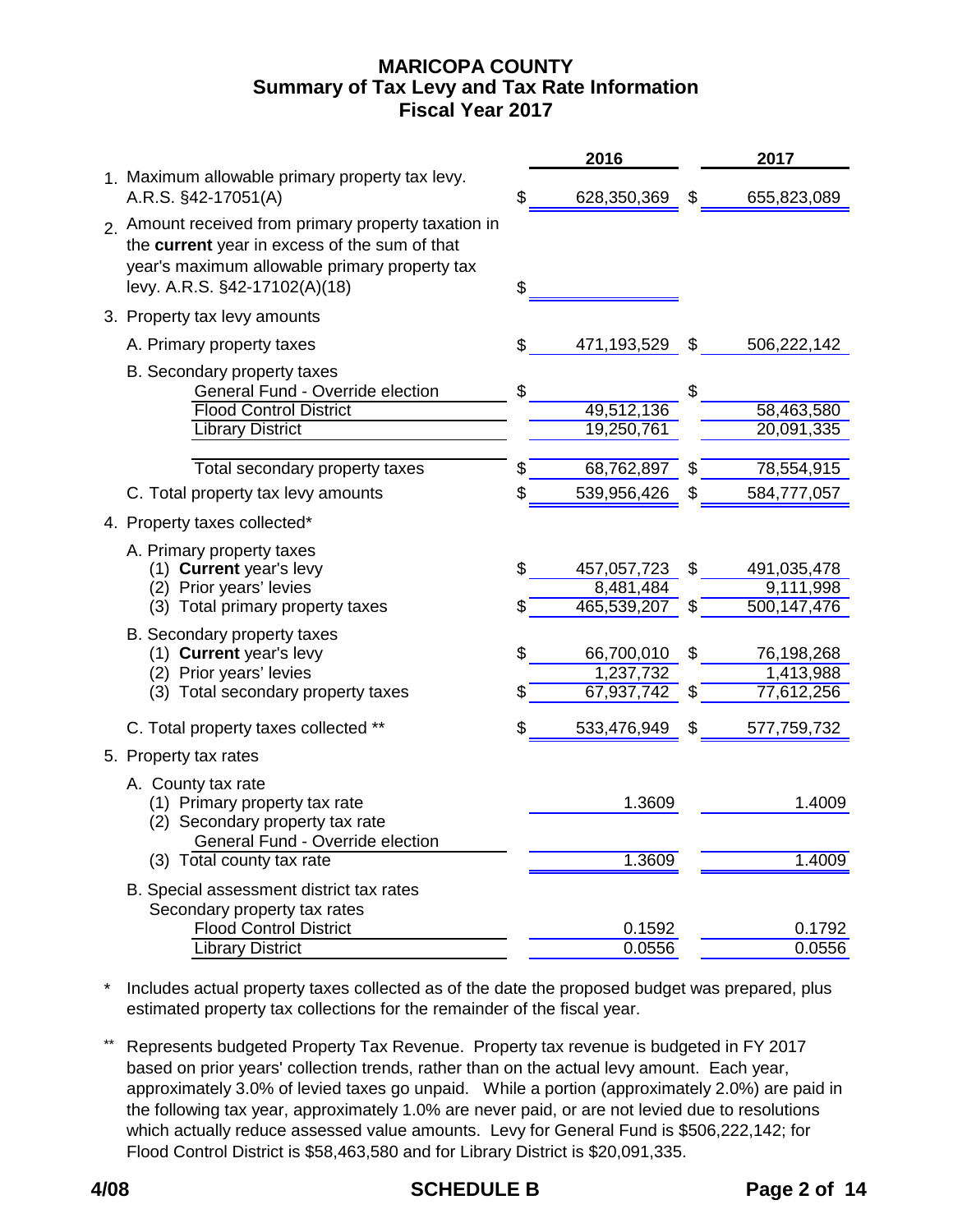# **MARICOPA COUNTY Fiscal Year 2017 Summary of Tax Levy and Tax Rate Information**

|                                                                                                                                                                                         |          | 2016                                    |          | 2017                                    |
|-----------------------------------------------------------------------------------------------------------------------------------------------------------------------------------------|----------|-----------------------------------------|----------|-----------------------------------------|
| 1. Maximum allowable primary property tax levy.<br>A.R.S. §42-17051(A)                                                                                                                  | \$       | 628,350,369                             | S        | 655,823,089                             |
| 2. Amount received from primary property taxation in<br>the current year in excess of the sum of that<br>year's maximum allowable primary property tax<br>levy. A.R.S. §42-17102(A)(18) | \$       |                                         |          |                                         |
| 3. Property tax levy amounts                                                                                                                                                            |          |                                         |          |                                         |
| A. Primary property taxes                                                                                                                                                               | \$       | 471,193,529                             | \$       | 506,222,142                             |
| B. Secondary property taxes<br>General Fund - Override election<br><b>Flood Control District</b><br><b>Library District</b>                                                             | \$       | 49,512,136<br>19,250,761                | \$       | 58,463,580<br>20,091,335                |
| Total secondary property taxes                                                                                                                                                          | \$       | 68,762,897                              | \$       | 78,554,915                              |
| C. Total property tax levy amounts                                                                                                                                                      | \$       | 539,956,426                             | \$       | 584,777,057                             |
| 4. Property taxes collected*                                                                                                                                                            |          |                                         |          |                                         |
| A. Primary property taxes<br>(1) Current year's levy<br>(2) Prior years' levies<br>(3) Total primary property taxes                                                                     | \$<br>\$ | 457,057,723<br>8,481,484<br>465,539,207 | \$<br>\$ | 491,035,478<br>9,111,998<br>500,147,476 |
| B. Secondary property taxes<br>(1) Current year's levy<br>(2) Prior years' levies<br>(3) Total secondary property taxes                                                                 | \$<br>\$ | 66,700,010<br>1,237,732<br>67,937,742   | \$<br>\$ | 76,198,268<br>1,413,988<br>77,612,256   |
| C. Total property taxes collected **                                                                                                                                                    | \$       | 533,476,949                             | S        | 577,759,732                             |
| 5. Property tax rates                                                                                                                                                                   |          |                                         |          |                                         |
| A. County tax rate<br>(1) Primary property tax rate<br>(2) Secondary property tax rate<br>General Fund - Override election                                                              |          | 1.3609                                  |          | 1.4009                                  |
| (3) Total county tax rate                                                                                                                                                               |          | 1.3609                                  |          | 1.4009                                  |
| B. Special assessment district tax rates<br>Secondary property tax rates<br><b>Flood Control District</b>                                                                               |          | 0.1592                                  |          | 0.1792                                  |
| <b>Library District</b>                                                                                                                                                                 |          | 0.0556                                  |          | 0.0556                                  |

\* Includes actual property taxes collected as of the date the proposed budget was prepared, plus estimated property tax collections for the remainder of the fiscal year.

\*\* Represents budgeted Property Tax Revenue. Property tax revenue is budgeted in FY 2017 based on prior years' collection trends, rather than on the actual levy amount. Each year, approximately 3.0% of levied taxes go unpaid. While a portion (approximately 2.0%) are paid in the following tax year, approximately 1.0% are never paid, or are not levied due to resolutions which actually reduce assessed value amounts. Levy for General Fund is \$506,222,142; for Flood Control District is \$58,463,580 and for Library District is \$20,091,335.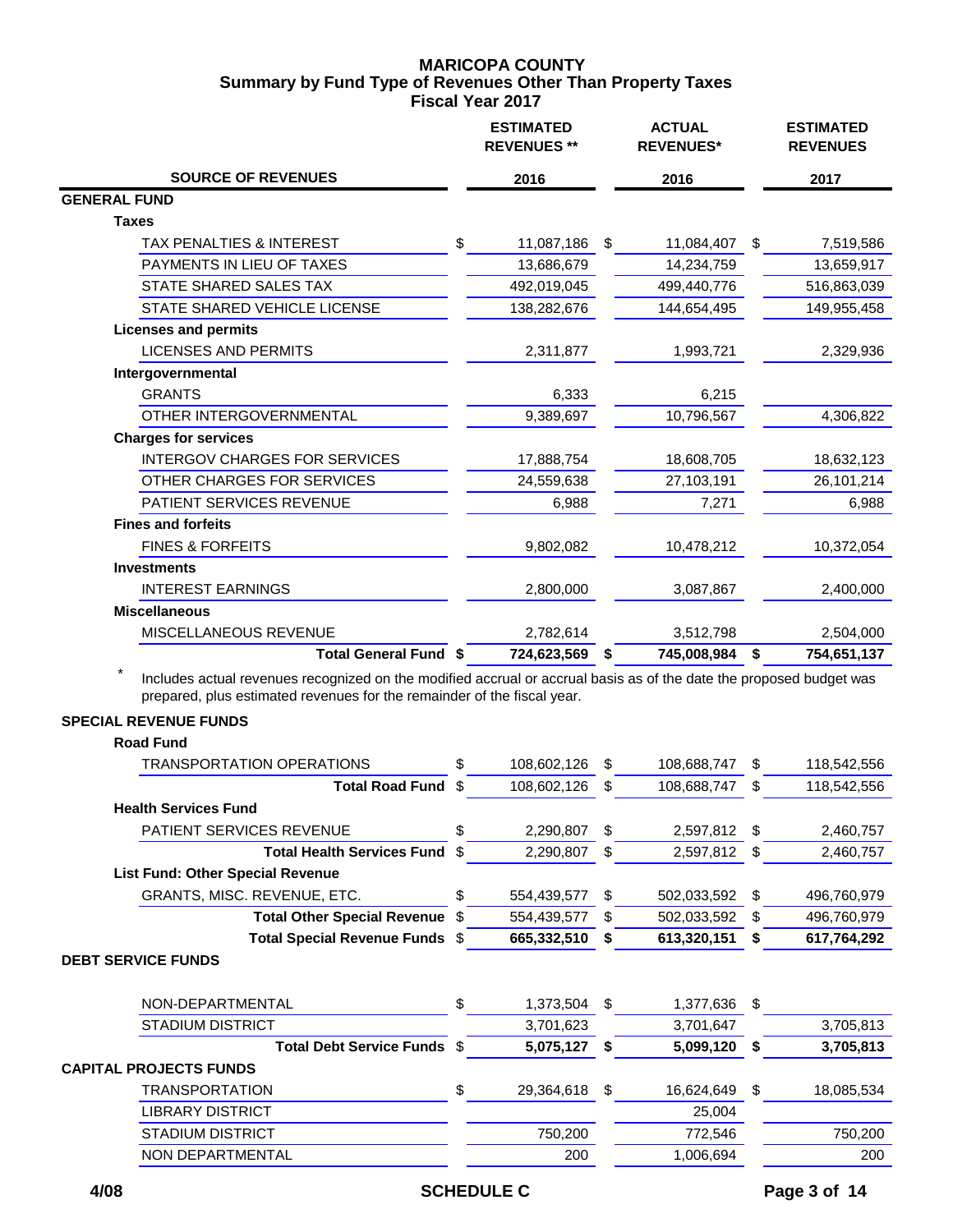## **MARICOPA COUNTY Fiscal Year 2017 Summary by Fund Type of Revenues Other Than Property Taxes**

|                                                                                                                                                                                                |          | <b>ESTIMATED</b><br><b>REVENUES **</b> |          | <b>ACTUAL</b><br><b>REVENUES*</b> |        | <b>ESTIMATED</b><br><b>REVENUES</b> |
|------------------------------------------------------------------------------------------------------------------------------------------------------------------------------------------------|----------|----------------------------------------|----------|-----------------------------------|--------|-------------------------------------|
| <b>SOURCE OF REVENUES</b>                                                                                                                                                                      |          | 2016                                   |          | 2016                              |        | 2017                                |
| <b>GENERAL FUND</b>                                                                                                                                                                            |          |                                        |          |                                   |        |                                     |
| <b>Taxes</b>                                                                                                                                                                                   |          |                                        |          |                                   |        |                                     |
| TAX PENALTIES & INTEREST                                                                                                                                                                       | \$       | 11,087,186                             | \$       | 11,084,407                        | -\$    | 7,519,586                           |
| PAYMENTS IN LIEU OF TAXES                                                                                                                                                                      |          | 13,686,679                             |          | 14,234,759                        |        | 13,659,917                          |
| STATE SHARED SALES TAX                                                                                                                                                                         |          | 492,019,045                            |          | 499,440,776                       |        | 516,863,039                         |
| STATE SHARED VEHICLE LICENSE                                                                                                                                                                   |          | 138,282,676                            |          | 144,654,495                       |        | 149,955,458                         |
| <b>Licenses and permits</b>                                                                                                                                                                    |          |                                        |          |                                   |        |                                     |
| <b>LICENSES AND PERMITS</b>                                                                                                                                                                    |          | 2,311,877                              |          | 1,993,721                         |        | 2,329,936                           |
| Intergovernmental                                                                                                                                                                              |          |                                        |          |                                   |        |                                     |
| <b>GRANTS</b>                                                                                                                                                                                  |          | 6,333                                  |          | 6,215                             |        |                                     |
| OTHER INTERGOVERNMENTAL                                                                                                                                                                        |          | 9,389,697                              |          | 10,796,567                        |        | 4,306,822                           |
| <b>Charges for services</b>                                                                                                                                                                    |          |                                        |          |                                   |        |                                     |
| <b>INTERGOV CHARGES FOR SERVICES</b>                                                                                                                                                           |          | 17,888,754                             |          | 18,608,705                        |        | 18,632,123                          |
| OTHER CHARGES FOR SERVICES                                                                                                                                                                     |          | 24,559,638                             |          | 27,103,191                        |        | 26,101,214                          |
| PATIENT SERVICES REVENUE                                                                                                                                                                       |          | 6,988                                  |          | 7,271                             |        | 6,988                               |
| <b>Fines and forfeits</b>                                                                                                                                                                      |          |                                        |          |                                   |        |                                     |
| <b>FINES &amp; FORFEITS</b>                                                                                                                                                                    |          | 9,802,082                              |          | 10,478,212                        |        | 10,372,054                          |
| <b>Investments</b>                                                                                                                                                                             |          |                                        |          |                                   |        |                                     |
| <b>INTEREST EARNINGS</b>                                                                                                                                                                       |          | 2,800,000                              |          | 3,087,867                         |        | 2,400,000                           |
| <b>Miscellaneous</b>                                                                                                                                                                           |          |                                        |          |                                   |        |                                     |
| MISCELLANEOUS REVENUE                                                                                                                                                                          |          | 2,782,614                              |          | 3,512,798                         |        | 2,504,000                           |
| <b>Total General Fund \$</b>                                                                                                                                                                   |          | 724,623,569                            | \$       | 745,008,984                       | \$     | 754,651,137                         |
| Includes actual revenues recognized on the modified accrual or accrual basis as of the date the proposed budget was<br>prepared, plus estimated revenues for the remainder of the fiscal year. |          |                                        |          |                                   |        |                                     |
| <b>SPECIAL REVENUE FUNDS</b>                                                                                                                                                                   |          |                                        |          |                                   |        |                                     |
| <b>Road Fund</b><br><b>TRANSPORTATION OPERATIONS</b>                                                                                                                                           | \$       | 108,602,126                            | \$       | 108,688,747                       | \$     | 118,542,556                         |
| <b>Total Road Fund</b>                                                                                                                                                                         | \$       | 108,602,126                            | \$       | 108,688,747                       | S      | 118,542,556                         |
| <b>Health Services Fund</b>                                                                                                                                                                    |          |                                        |          |                                   |        |                                     |
| PATIENT SERVICES REVENUE                                                                                                                                                                       | \$       | 2,290,807                              | \$       |                                   | \$.    |                                     |
| <b>Total Health Services Fund</b>                                                                                                                                                              | \$       |                                        | \$       | 2,597,812<br>2,597,812            |        | 2,460,757                           |
|                                                                                                                                                                                                |          | 2,290,807                              |          |                                   | S      | 2,460,757                           |
| <b>List Fund: Other Special Revenue</b>                                                                                                                                                        |          |                                        |          |                                   |        |                                     |
| GRANTS, MISC. REVENUE, ETC.<br><b>Total Other Special Revenue</b>                                                                                                                              | \$<br>\$ | 554,439,577<br>554,439,577             | \$<br>\$ | 502,033,592<br>502,033,592        | S<br>S | 496,760,979                         |
| Total Special Revenue Funds \$                                                                                                                                                                 |          | 665,332,510                            | \$       | 613,320,151                       | S      | 496,760,979<br>617,764,292          |
| <b>DEBT SERVICE FUNDS</b>                                                                                                                                                                      |          |                                        |          |                                   |        |                                     |

| NON-DEPARTMENTAL              | \$<br>1,373,504  | 1,377,636  | - \$ |            |
|-------------------------------|------------------|------------|------|------------|
| <b>STADIUM DISTRICT</b>       | 3,701,623        | 3,701,647  |      | 3,705,813  |
| Total Debt Service Funds \$   | 5,075,127        | 5,099,120  |      | 3,705,813  |
| <b>CAPITAL PROJECTS FUNDS</b> |                  |            |      |            |
| <b>TRANSPORTATION</b>         | \$<br>29,364,618 | 16,624,649 |      | 18,085,534 |
| <b>LIBRARY DISTRICT</b>       |                  | 25,004     |      |            |
| <b>STADIUM DISTRICT</b>       | 750,200          | 772,546    |      | 750,200    |
| NON DEPARTMENTAL              | 200              | 1,006,694  |      | 200        |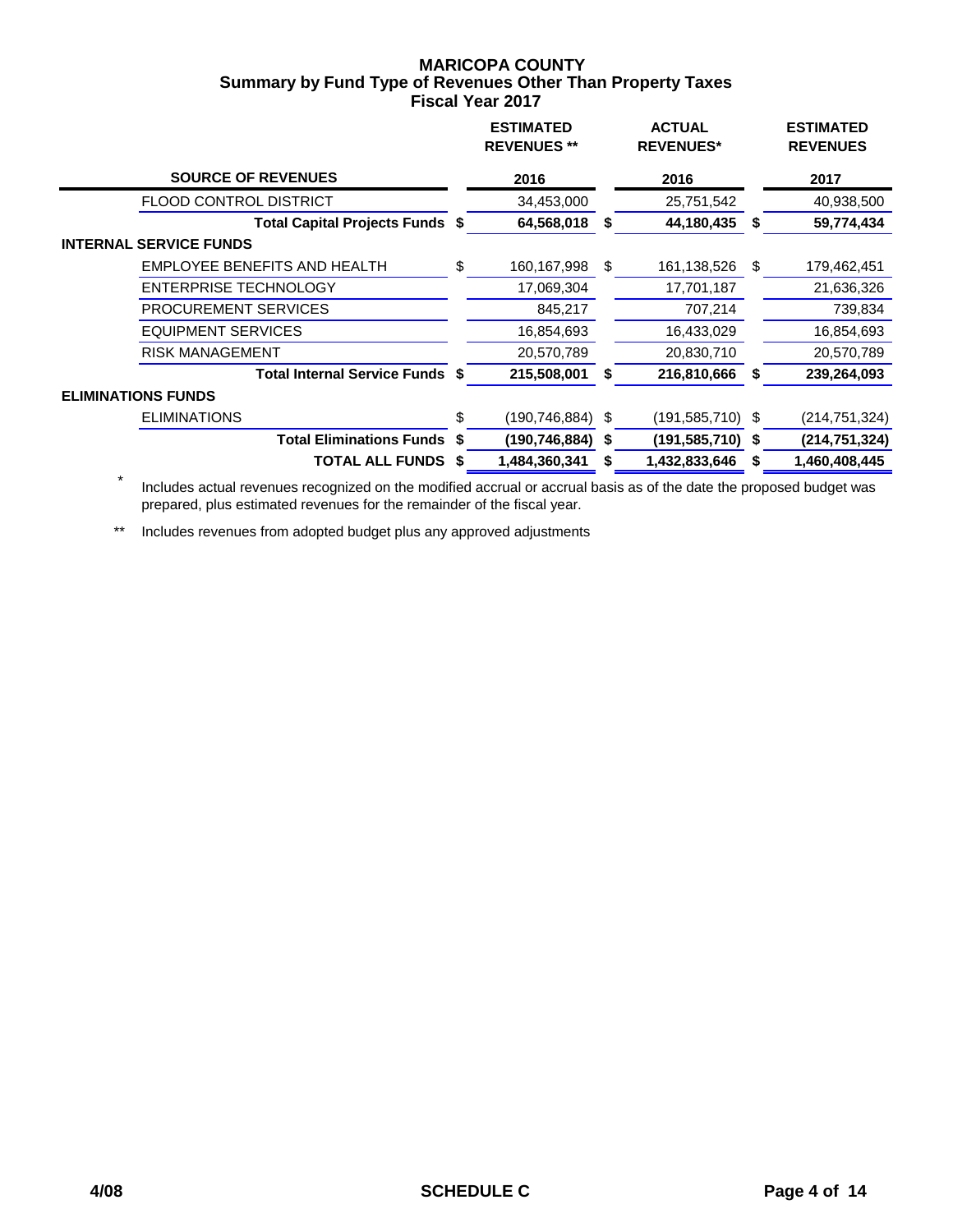## **MARICOPA COUNTY Fiscal Year 2017 Summary by Fund Type of Revenues Other Than Property Taxes**

|                                 |      | <b>ESTIMATED</b><br><b>REVENUES **</b> |    | <b>ACTUAL</b><br><b>REVENUES*</b> |     | <b>ESTIMATED</b><br><b>REVENUES</b> |
|---------------------------------|------|----------------------------------------|----|-----------------------------------|-----|-------------------------------------|
| <b>SOURCE OF REVENUES</b>       |      | 2016                                   |    | 2016                              |     | 2017                                |
| <b>FLOOD CONTROL DISTRICT</b>   |      | 34,453,000                             |    | 25,751,542                        |     | 40,938,500                          |
| Total Capital Projects Funds \$ |      | 64,568,018                             | S  | 44,180,435                        | S   | 59,774,434                          |
| <b>INTERNAL SERVICE FUNDS</b>   |      |                                        |    |                                   |     |                                     |
| EMPLOYEE BENEFITS AND HEALTH    | \$   | 160,167,998                            | \$ | 161,138,526                       | -SS | 179,462,451                         |
| <b>ENTERPRISE TECHNOLOGY</b>    |      | 17,069,304                             |    | 17,701,187                        |     | 21,636,326                          |
| <b>PROCUREMENT SERVICES</b>     |      | 845,217                                |    | 707,214                           |     | 739,834                             |
| <b>EQUIPMENT SERVICES</b>       |      | 16,854,693                             |    | 16,433,029                        |     | 16,854,693                          |
| <b>RISK MANAGEMENT</b>          |      | 20,570,789                             |    | 20,830,710                        |     | 20,570,789                          |
| Total Internal Service Funds \$ |      | 215,508,001                            |    | 216,810,666                       |     | 239,264,093                         |
| <b>ELIMINATIONS FUNDS</b>       |      |                                        |    |                                   |     |                                     |
| <b>ELIMINATIONS</b>             | \$   | (190,746,884)                          | \$ | $(191, 585, 710)$ \$              |     | (214,751,324)                       |
| <b>Total Eliminations Funds</b> | -S   | (190, 746, 884)                        | S  | (191,585,710) \$                  |     | (214, 751, 324)                     |
| <b>TOTAL ALL FUNDS</b>          | - \$ | 1,484,360,341                          |    | 1,432,833,646                     | S   | 1,460,408,445                       |

 \* Includes actual revenues recognized on the modified accrual or accrual basis as of the date the proposed budget was prepared, plus estimated revenues for the remainder of the fiscal year.

\*\* Includes revenues from adopted budget plus any approved adjustments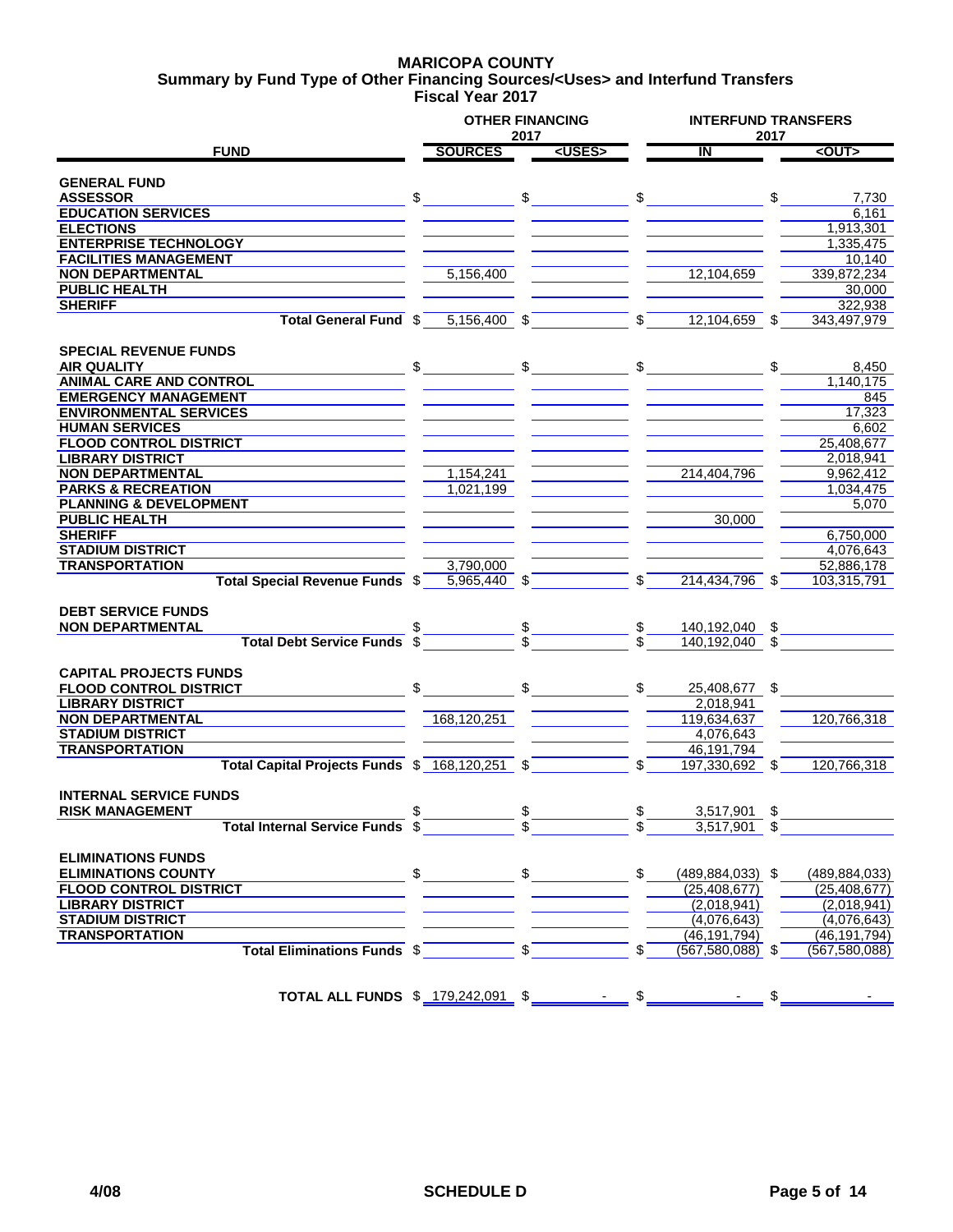### **MARICOPA COUNTY Fiscal Year 2017 Summary by Fund Type of Other Financing Sources/<Uses> and Interfund Transfers**

|                                                |                | 2017           | <b>OTHER FINANCING</b> |               |                         | 2017 | <b>INTERFUND TRANSFERS</b> |  |  |
|------------------------------------------------|----------------|----------------|------------------------|---------------|-------------------------|------|----------------------------|--|--|
| <b>FUND</b>                                    | <b>SOURCES</b> |                | <uses></uses>          |               | $\overline{\mathsf{I}}$ |      | <out></out>                |  |  |
|                                                |                |                |                        |               |                         |      |                            |  |  |
| <b>GENERAL FUND</b>                            |                |                |                        |               |                         |      |                            |  |  |
| <b>ASSESSOR</b>                                | \$             |                |                        |               | $\mathfrak s$           | \$   | 7,730                      |  |  |
| <b>EDUCATION SERVICES</b>                      |                |                |                        |               |                         |      | 6.161                      |  |  |
| <b>ELECTIONS</b>                               |                |                |                        |               |                         |      | 1,913,301                  |  |  |
| <b>ENTERPRISE TECHNOLOGY</b>                   |                |                |                        |               |                         |      | 1,335,475                  |  |  |
| <b>FACILITIES MANAGEMENT</b>                   |                |                |                        |               |                         |      | 10,140                     |  |  |
| <b>NON DEPARTMENTAL</b>                        | 5,156,400      |                |                        |               | 12,104,659              |      | 339,872,234                |  |  |
| <b>PUBLIC HEALTH</b>                           |                |                |                        |               |                         |      | 30,000                     |  |  |
| <b>SHERIFF</b>                                 |                |                |                        |               |                         |      | 322,938                    |  |  |
| Total General Fund \$                          | 5,156,400 \$   |                |                        | \$            | 12,104,659 \$           |      | 343,497,979                |  |  |
|                                                |                |                |                        |               |                         |      |                            |  |  |
| <b>SPECIAL REVENUE FUNDS</b>                   |                |                |                        |               |                         |      |                            |  |  |
| <b>AIR QUALITY</b>                             | \$             |                |                        | \$            |                         | \$   | 8,450                      |  |  |
| <b>ANIMAL CARE AND CONTROL</b>                 |                |                |                        |               |                         |      | 1,140,175                  |  |  |
| <b>EMERGENCY MANAGEMENT</b>                    |                |                |                        |               |                         |      | 845                        |  |  |
| <b>ENVIRONMENTAL SERVICES</b>                  |                |                |                        |               |                         |      | 17,323                     |  |  |
| <b>HUMAN SERVICES</b>                          |                |                |                        |               |                         |      | 6,602                      |  |  |
| <b>FLOOD CONTROL DISTRICT</b>                  |                |                |                        |               |                         |      | 25,408,677                 |  |  |
| <b>LIBRARY DISTRICT</b>                        |                |                |                        |               |                         |      | 2,018,941                  |  |  |
| <b>NON DEPARTMENTAL</b>                        | 1,154,241      |                |                        |               | 214,404,796             |      | 9,962,412                  |  |  |
| <b>PARKS &amp; RECREATION</b>                  | 1,021,199      |                |                        |               |                         |      | 1,034,475                  |  |  |
| <b>PLANNING &amp; DEVELOPMENT</b>              |                |                |                        |               |                         |      | 5,070                      |  |  |
| <b>PUBLIC HEALTH</b>                           |                |                |                        |               | 30,000                  |      |                            |  |  |
| <b>SHERIFF</b>                                 |                |                |                        |               |                         |      | 6.750.000                  |  |  |
| <b>STADIUM DISTRICT</b>                        |                |                |                        |               |                         |      | 4,076,643                  |  |  |
| <b>TRANSPORTATION</b>                          | 3,790,000      |                |                        |               |                         |      | 52,886,178                 |  |  |
| Total Special Revenue Funds \$                 | 5,965,440 \$   |                |                        | \$            | 214,434,796 \$          |      | 103,315,791                |  |  |
|                                                |                |                |                        |               |                         |      |                            |  |  |
| <b>DEBT SERVICE FUNDS</b>                      |                |                |                        |               |                         |      |                            |  |  |
| <b>NON DEPARTMENTAL</b>                        |                |                |                        | $\mathsf{\$}$ | 140,192,040             | \$   |                            |  |  |
| <b>Total Debt Service Funds</b>                | \$             |                |                        |               | 140.192.040 \$          |      |                            |  |  |
|                                                |                |                |                        |               |                         |      |                            |  |  |
| <b>CAPITAL PROJECTS FUNDS</b>                  |                |                |                        |               |                         |      |                            |  |  |
| <b>FLOOD CONTROL DISTRICT</b>                  | \$             |                |                        | \$            | 25,408,677 \$           |      |                            |  |  |
| <b>LIBRARY DISTRICT</b>                        |                |                |                        |               | 2,018,941               |      |                            |  |  |
| <b>NON DEPARTMENTAL</b>                        | 168,120,251    |                |                        |               | 119.634.637             |      | 120,766,318                |  |  |
| <b>STADIUM DISTRICT</b>                        |                |                |                        |               | 4,076,643               |      |                            |  |  |
| <b>TRANSPORTATION</b>                          |                |                |                        |               | 46,191,794              |      |                            |  |  |
| Total Capital Projects Funds \$ 168,120,251 \$ |                |                |                        | \$            | 197,330,692             | \$   | 120,766,318                |  |  |
| <b>INTERNAL SERVICE FUNDS</b>                  |                |                |                        |               |                         |      |                            |  |  |
|                                                |                |                |                        |               |                         |      |                            |  |  |
| <b>RISK MANAGEMENT</b>                         |                |                |                        |               | 3,517,901               | \$   |                            |  |  |
| Total Internal Service Funds \$                |                |                |                        |               | $3,517,901$ \$          |      |                            |  |  |
| <b>ELIMINATIONS FUNDS</b>                      |                |                |                        |               |                         |      |                            |  |  |
|                                                |                |                |                        | $\mathbb{S}$  |                         |      |                            |  |  |
| <b>ELIMINATIONS COUNTY</b>                     |                |                |                        |               | $(489, 884, 033)$ \$    |      | (489, 884, 033)            |  |  |
| <b>FLOOD CONTROL DISTRICT</b>                  |                |                |                        |               | (25, 408, 677)          |      | (25, 408, 677)             |  |  |
| <b>LIBRARY DISTRICT</b>                        |                |                |                        |               | (2,018,941)             |      | (2,018,941)                |  |  |
| <b>STADIUM DISTRICT</b>                        |                |                |                        |               | (4,076,643)             |      | (4,076,643)                |  |  |
| <b>TRANSPORTATION</b>                          |                |                |                        |               | (46, 191, 794)          |      | (46, 191, 794)             |  |  |
| Total Eliminations Funds \$                    |                | $\mathbb{S}^-$ |                        |               | $(567, 580, 088)$ \$    |      | (567, 580, 088)            |  |  |
|                                                |                |                |                        |               |                         |      |                            |  |  |
| TOTAL ALL FUNDS \$ 179,242,091 \$              |                |                |                        |               | $-$ \$                  |      |                            |  |  |
|                                                |                |                |                        |               |                         |      |                            |  |  |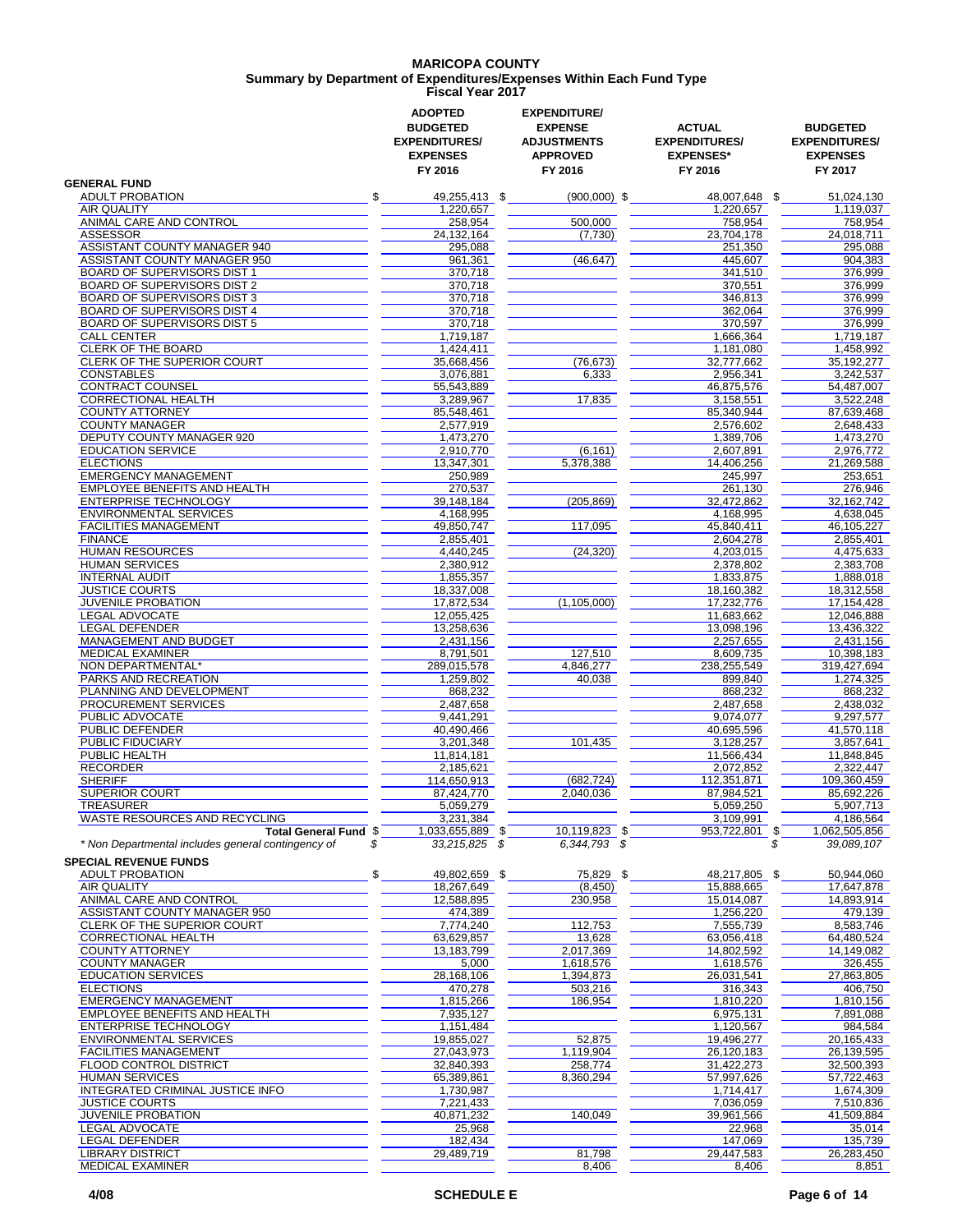### **MARICOPA COUNTY Fiscal Year 2017 Summary by Department of Expenditures/Expenses Within Each Fund Type**

|                                                                                    | <b>ADOPTED</b><br><b>BUDGETED</b><br><b>EXPENDITURES/</b><br><b>EXPENSES</b><br>FY 2016 | <b>EXPENDITURE/</b><br><b>EXPENSE</b><br><b>ADJUSTMENTS</b><br><b>APPROVED</b><br>FY 2016 | <b>ACTUAL</b><br><b>EXPENDITURES/</b><br><b>EXPENSES*</b><br>FY 2016 | <b>BUDGETED</b><br><b>EXPENDITURES/</b><br><b>EXPENSES</b><br>FY 2017 |
|------------------------------------------------------------------------------------|-----------------------------------------------------------------------------------------|-------------------------------------------------------------------------------------------|----------------------------------------------------------------------|-----------------------------------------------------------------------|
| <b>GENERAL FUND</b>                                                                |                                                                                         |                                                                                           |                                                                      |                                                                       |
| <b>ADULT PROBATION</b>                                                             | \$<br>49,255,413 \$                                                                     | $(900,000)$ \$                                                                            | 48,007,648 \$                                                        | 51,024,130                                                            |
| AIR QUALITY                                                                        | 1,220,657                                                                               |                                                                                           | 1,220,657                                                            | 1,119,037                                                             |
| ANIMAL CARE AND CONTROL                                                            | 258,954                                                                                 | 500,000                                                                                   | 758,954                                                              | 758,954                                                               |
| <b>ASSESSOR</b><br>ASSISTANT COUNTY MANAGER 940                                    | 24, 132, 164<br>295,088                                                                 | (7,730)                                                                                   | 23,704,178<br>251,350                                                | 24,018,711<br>295.088                                                 |
| ASSISTANT COUNTY MANAGER 950                                                       | 961,361                                                                                 | (46, 647)                                                                                 | 445,607                                                              | 904,383                                                               |
| BOARD OF SUPERVISORS DIST 1                                                        | 370,718                                                                                 |                                                                                           | 341,510                                                              | 376,999                                                               |
| <b>BOARD OF SUPERVISORS DIST 2</b>                                                 | 370,718                                                                                 |                                                                                           | 370,551                                                              | 376,999                                                               |
| <b>BOARD OF SUPERVISORS DIST 3</b>                                                 | 370,718                                                                                 |                                                                                           | 346,813                                                              | 376,999                                                               |
| BOARD OF SUPERVISORS DIST 4                                                        | 370,718                                                                                 |                                                                                           | 362,064                                                              | 376,999                                                               |
| <b>BOARD OF SUPERVISORS DIST 5</b>                                                 | 370,718                                                                                 |                                                                                           | 370,597                                                              | 376,999                                                               |
| <b>CALL CENTER</b>                                                                 | 1,719,187                                                                               |                                                                                           | 1,666,364                                                            | 1,719,187                                                             |
| <b>CLERK OF THE BOARD</b>                                                          | 1,424,411                                                                               |                                                                                           | 1,181,080                                                            | 1,458,992                                                             |
| <b>CLERK OF THE SUPERIOR COURT</b>                                                 | 35,668,456                                                                              | (76, 673)                                                                                 | 32,777,662                                                           | 35.192.277                                                            |
| <b>CONSTABLES</b>                                                                  | 3,076,881                                                                               | 6,333                                                                                     | 2,956,341                                                            | 3,242,537                                                             |
| <b>CONTRACT COUNSEL</b>                                                            | 55,543,889                                                                              |                                                                                           | 46,875,576                                                           | 54,487,007                                                            |
| <b>CORRECTIONAL HEALTH</b>                                                         | 3,289,967                                                                               | 17,835                                                                                    | 3,158,551                                                            | 3,522,248                                                             |
| <b>COUNTY ATTORNEY</b>                                                             | 85,548,461                                                                              |                                                                                           | 85,340,944                                                           | 87,639,468                                                            |
| <b>COUNTY MANAGER</b>                                                              | 2,577,919                                                                               |                                                                                           | 2,576,602                                                            | 2.648.433                                                             |
| <b>DEPUTY COUNTY MANAGER 920</b>                                                   | 1,473,270                                                                               |                                                                                           | 1,389,706                                                            | 1,473,270                                                             |
| <b>EDUCATION SERVICE</b>                                                           | 2,910,770                                                                               | (6, 161)                                                                                  | 2,607,891                                                            | 2,976,772                                                             |
| <b>ELECTIONS</b>                                                                   | 13.347.301                                                                              | 5,378,388                                                                                 | 14,406,256                                                           | 21,269,588                                                            |
| <b>EMERGENCY MANAGEMENT</b>                                                        | 250,989                                                                                 |                                                                                           | 245,997                                                              | 253,651                                                               |
| EMPLOYEE BENEFITS AND HEALTH                                                       | 270,537                                                                                 |                                                                                           | 261.130                                                              | 276,946                                                               |
| <b>ENTERPRISE TECHNOLOGY</b>                                                       | 39.148.184                                                                              | (205, 869)                                                                                | 32,472,862                                                           | 32, 162, 742                                                          |
| <b>ENVIRONMENTAL SERVICES</b>                                                      | 4,168,995                                                                               |                                                                                           | 4,168,995                                                            | 4,638,045                                                             |
| <b>FACILITIES MANAGEMENT</b>                                                       | 49,850,747                                                                              | 117,095                                                                                   | 45,840,411                                                           | 46,105,227                                                            |
| <b>FINANCE</b>                                                                     | 2,855,401                                                                               |                                                                                           | 2,604,278                                                            | 2,855,401                                                             |
| <b>HUMAN RESOURCES</b>                                                             | 4,440,245                                                                               | (24, 320)                                                                                 | 4,203,015                                                            | 4,475,633                                                             |
| <b>HUMAN SERVICES</b>                                                              | 2,380,912                                                                               |                                                                                           | 2,378,802                                                            | 2,383,708                                                             |
| <b>INTERNAL AUDIT</b>                                                              | 1,855,357                                                                               |                                                                                           | 1,833,875                                                            | 1,888,018                                                             |
| <b>JUSTICE COURTS</b><br><b>JUVENILE PROBATION</b>                                 | 18,337,008                                                                              |                                                                                           | 18,160,382<br>17,232,776                                             | 18,312,558<br>17,154,428                                              |
| LEGAL ADVOCATE                                                                     | 17,872,534<br>12,055,425                                                                | (1, 105, 000)                                                                             | 11,683,662                                                           | 12,046,888                                                            |
| <b>LEGAL DEFENDER</b>                                                              | 13,258,636                                                                              |                                                                                           | 13,098,196                                                           | 13,436,322                                                            |
| MANAGEMENT AND BUDGET                                                              | 2,431,156                                                                               |                                                                                           | 2,257,655                                                            | 2,431,156                                                             |
| <b>MEDICAL EXAMINER</b>                                                            | 8,791,501                                                                               | 127,510                                                                                   | 8,609,735                                                            | 10,398,183                                                            |
| NON DEPARTMENTAL*                                                                  | 289,015,578                                                                             | 4,846,277                                                                                 | 238,255,549                                                          | 319,427,694                                                           |
| PARKS AND RECREATION                                                               | 1,259,802                                                                               | 40,038                                                                                    | 899,840                                                              | 1,274,325                                                             |
| PLANNING AND DEVELOPMENT                                                           | 868,232                                                                                 |                                                                                           | 868,232                                                              | 868,232                                                               |
| PROCUREMENT SERVICES                                                               | 2,487,658                                                                               |                                                                                           | 2,487,658                                                            | 2,438,032                                                             |
| PUBLIC ADVOCATE                                                                    | 9,441,291                                                                               |                                                                                           | 9,074,077                                                            | 9,297,577                                                             |
| PUBLIC DEFENDER                                                                    | 40,490,466                                                                              |                                                                                           | 40,695,596                                                           | 41,570,118                                                            |
| PUBLIC FIDUCIARY                                                                   | 3,201,348                                                                               | 101,435                                                                                   | 3,128,257                                                            | 3,857,641                                                             |
| PUBLIC HEALTH                                                                      | 11,814,181                                                                              |                                                                                           | 11,566,434                                                           | 11,848,845                                                            |
| <b>RECORDER</b>                                                                    | 2,185,621                                                                               |                                                                                           | 2,072,852                                                            | 2,322,447                                                             |
| <b>SHERIFF</b>                                                                     | 114,650,913                                                                             | (682, 724)                                                                                | 112,351,871                                                          | 109,360,459                                                           |
| <b>SUPERIOR COURT</b>                                                              | 87,424,770                                                                              | 2,040,036                                                                                 | 87,984,521                                                           | 85,692,226                                                            |
| <b>TREASURER</b>                                                                   | 5,059,279                                                                               |                                                                                           | 5,059,250                                                            | 5,907,713                                                             |
| WASTE RESOURCES AND RECYCLING                                                      | 3,231,384                                                                               |                                                                                           | 3,109,991                                                            | 4,186,564                                                             |
| Total General Fund \$                                                              | 1,033,655,889 \$                                                                        | 10,119,823 \$                                                                             | 953,722,801 \$                                                       | 1,062,505,856                                                         |
| * Non Departmental includes general contingency of<br><b>SPECIAL REVENUE FUNDS</b> | 33,215,825 \$<br>\$                                                                     | 6,344,793 \$                                                                              |                                                                      | 39,089,107                                                            |
| <b>ADULT PROBATION</b>                                                             | \$<br>49,802,659 \$                                                                     | 75,829 \$                                                                                 | 48,217,805 \$                                                        | 50,944,060                                                            |
| AIR QUALITY                                                                        | 18,267,649                                                                              | (8, 450)                                                                                  | 15,888,665                                                           | 17,647,878                                                            |
| ANIMAL CARE AND CONTROL                                                            | 12,588,895                                                                              | 230,958                                                                                   | 15,014,087                                                           | 14,893,914                                                            |
| ASSISTANT COUNTY MANAGER 950                                                       | 474,389                                                                                 |                                                                                           | 1,256,220                                                            | 479,139                                                               |
| CLERK OF THE SUPERIOR COURT                                                        | 7,774,240                                                                               | 112,753                                                                                   | 7,555,739                                                            | 8,583,746                                                             |
| <b>CORRECTIONAL HEALTH</b>                                                         | 63,629,857                                                                              | 13,628                                                                                    | 63,056,418                                                           | 64,480,524                                                            |
| <b>COUNTY ATTORNEY</b>                                                             | 13,183,799                                                                              | 2,017,369                                                                                 | 14,802,592                                                           | 14,149,082                                                            |
| <b>COUNTY MANAGER</b>                                                              | 5,000                                                                                   | 1,618,576                                                                                 | 1,618,576                                                            | 326,455                                                               |
| <b>EDUCATION SERVICES</b>                                                          | 28,168,106                                                                              | 1,394,873                                                                                 | 26,031,541                                                           | 27,863,805                                                            |
| <b>ELECTIONS</b><br><b>EMERGENCY MANAGEMENT</b>                                    | 470,278                                                                                 | 503,216                                                                                   | 316,343                                                              | 406,750<br>1,810,156                                                  |
|                                                                                    | 1,815,266                                                                               | 186,954                                                                                   | 1,810,220                                                            |                                                                       |
| EMPLOYEE BENEFITS AND HEALTH                                                       | 7,935,127                                                                               |                                                                                           | 6,975,131                                                            | 7,891,088                                                             |
| ENTERPRISE TECHNOLOGY                                                              | 1,151,484                                                                               |                                                                                           | 1,120,567                                                            | 984,584                                                               |
| <b>ENVIRONMENTAL SERVICES</b><br><b>FACILITIES MANAGEMENT</b>                      | 19,855,027<br>27,043,973                                                                | 52,875                                                                                    | 19,496,277                                                           | 20,165,433<br>26,139,595                                              |
| FLOOD CONTROL DISTRICT                                                             |                                                                                         | 1,119,904                                                                                 | 26,120,183                                                           |                                                                       |
| <b>HUMAN SERVICES</b>                                                              | 32,840,393<br>65,389,861                                                                | 258,774<br>8,360,294                                                                      | 31,422,273<br>57,997,626                                             | 32,500,393<br>57,722,463                                              |
| INTEGRATED CRIMINAL JUSTICE INFO                                                   |                                                                                         |                                                                                           |                                                                      |                                                                       |
| <b>JUSTICE COURTS</b>                                                              | 1,730,987                                                                               |                                                                                           | 1,714,417<br>7,036,059                                               | 1,674,309<br>7,510,836                                                |
| <b>JUVENILE PROBATION</b>                                                          | 7,221,433<br>40,871,232                                                                 | 140,049                                                                                   | 39,961,566                                                           | 41,509,884                                                            |
| LEGAL ADVOCATE                                                                     | 25,968                                                                                  |                                                                                           | 22,968                                                               | 35,014                                                                |
| LEGAL DEFENDER                                                                     | 182,434                                                                                 |                                                                                           | 147,069                                                              | 135,739                                                               |
| <b>LIBRARY DISTRICT</b>                                                            | 29,489,719                                                                              | 81,798                                                                                    | 29,447,583                                                           | 26,283,450                                                            |
| MEDICAL EXAMINER                                                                   |                                                                                         | 8,406                                                                                     | 8,406                                                                | 8,851                                                                 |
|                                                                                    |                                                                                         |                                                                                           |                                                                      |                                                                       |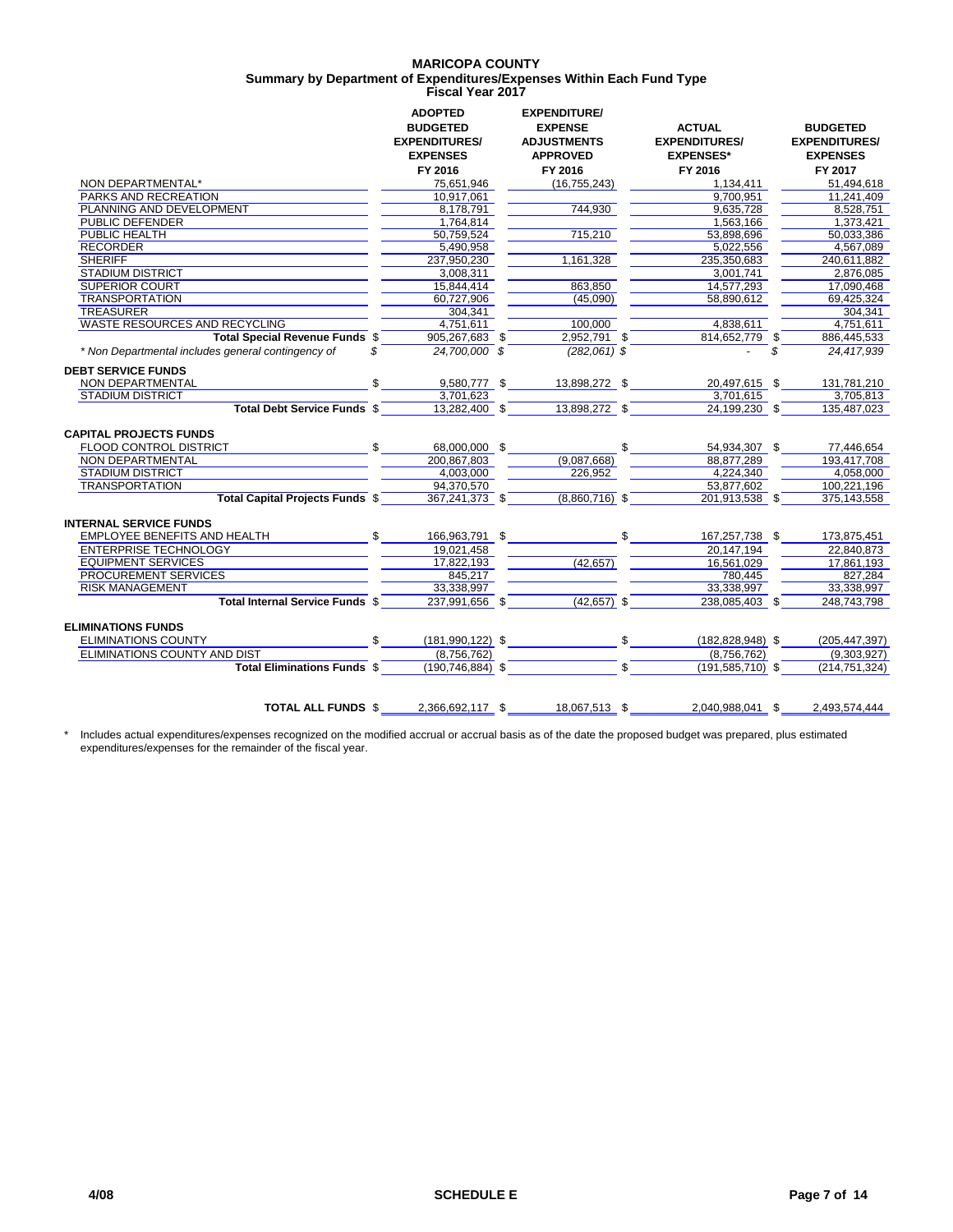### **MARICOPA COUNTY Fiscal Year 2017 Summary by Department of Expenditures/Expenses Within Each Fund Type**

|                                                          | <b>ADOPTED</b><br><b>BUDGETED</b>       | <b>EXPENDITURE/</b><br><b>EXPENSE</b> | <b>ACTUAL</b>                            | <b>BUDGETED</b>                         |
|----------------------------------------------------------|-----------------------------------------|---------------------------------------|------------------------------------------|-----------------------------------------|
|                                                          | <b>EXPENDITURES/</b><br><b>EXPENSES</b> | <b>ADJUSTMENTS</b><br><b>APPROVED</b> | <b>EXPENDITURES/</b><br><b>EXPENSES*</b> | <b>EXPENDITURES/</b><br><b>EXPENSES</b> |
|                                                          | FY 2016                                 | FY 2016                               | FY 2016                                  | FY 2017                                 |
| NON DEPARTMENTAL*                                        | 75,651,946                              | (16, 755, 243)                        | 1,134,411                                | 51.494.618                              |
| <b>PARKS AND RECREATION</b>                              | 10.917.061                              |                                       | 9.700.951                                | 11.241.409                              |
| PLANNING AND DEVELOPMENT                                 | 8,178,791                               | 744,930                               | 9,635,728                                | 8,528,751                               |
| <b>PUBLIC DEFENDER</b>                                   | 1,764,814                               |                                       | 1,563,166                                | 1,373,421                               |
| <b>PUBLIC HEALTH</b>                                     | 50.759.524                              | 715,210                               | 53,898,696                               | 50.033.386                              |
| <b>RECORDER</b>                                          | 5,490,958                               |                                       | 5,022,556                                | 4,567,089                               |
| <b>SHERIFF</b>                                           | 237.950.230                             | 1,161,328                             | 235,350,683                              | 240,611,882                             |
| <b>STADIUM DISTRICT</b>                                  | 3,008,311                               |                                       | 3,001,741                                | 2,876,085                               |
| <b>SUPERIOR COURT</b>                                    | 15,844,414                              | 863,850                               | 14,577,293                               | 17,090,468                              |
| <b>TRANSPORTATION</b>                                    | 60,727,906                              | (45,090)                              | 58,890,612                               | 69,425,324                              |
| <b>TREASURER</b>                                         | 304.341                                 |                                       |                                          | 304.341                                 |
| <b>WASTE RESOURCES AND RECYCLING</b>                     | 4,751,611                               | 100,000                               | 4,838,611                                | 4,751,611                               |
| Total Special Revenue Funds \$                           | 905.267.683 \$                          | 2.952.791 \$                          | 814.652.779 \$                           | 886.445.533                             |
| * Non Departmental includes general contingency of<br>\$ | 24,700,000 \$                           | $(282.061)$ \$                        |                                          | \$<br>24,417,939                        |
| <b>DEBT SERVICE FUNDS</b>                                |                                         |                                       |                                          |                                         |
| NON DEPARTMENTAL                                         | 9,580,777 \$                            | 13,898,272 \$                         | 20,497,615 \$                            | 131.781.210                             |
| <b>STADIUM DISTRICT</b>                                  | 3,701,623                               |                                       | 3,701,615                                | 3,705,813                               |
| Total Debt Service Funds \$                              | 13,282,400 \$                           | 13,898,272 \$                         | 24,199,230 \$                            | 135,487,023                             |
| <b>CAPITAL PROJECTS FUNDS</b>                            |                                         |                                       |                                          |                                         |
| FLOOD CONTROL DISTRICT                                   | \$<br>68.000.000 \$                     |                                       | 54,934,307 \$                            | 77,446,654                              |
| <b>NON DEPARTMENTAL</b>                                  | 200,867,803                             | (9,087,668)                           | 88,877,289                               | 193,417,708                             |
| <b>STADIUM DISTRICT</b>                                  | 4.003.000                               | 226.952                               | 4.224.340                                | 4.058.000                               |
| <b>TRANSPORTATION</b>                                    | 94.370.570                              |                                       | 53.877.602                               | 100.221.196                             |
| <b>Total Capital Projects Funds \$</b>                   | 367,241,373 \$                          | $(8,860,716)$ \$                      | 201,913,538 \$                           | 375,143,558                             |
| <b>INTERNAL SERVICE FUNDS</b>                            |                                         |                                       |                                          |                                         |
| EMPLOYEE BENEFITS AND HEALTH                             | \$<br>166,963,791 \$                    |                                       | 167,257,738 \$                           | 173,875,451                             |
| <b>ENTERPRISE TECHNOLOGY</b>                             | 19.021.458                              |                                       | 20.147.194                               | 22.840.873                              |
| <b>EQUIPMENT SERVICES</b>                                | 17,822,193                              | (42, 657)                             | 16,561,029                               | 17,861,193                              |
| <b>PROCUREMENT SERVICES</b>                              | 845.217                                 |                                       | 780.445                                  | 827.284                                 |
| <b>RISK MANAGEMENT</b>                                   | 33,338,997                              |                                       | 33,338,997                               | 33,338,997                              |
| Total Internal Service Funds \$                          | 237.991.656 \$                          | $(42, 657)$ \$                        | 238,085,403 \$                           | 248,743,798                             |
| <b>ELIMINATIONS FUNDS</b>                                |                                         |                                       |                                          |                                         |
| <b>ELIMINATIONS COUNTY</b>                               | $(181,990,122)$ \$<br>\$.               |                                       | \$<br>$(182, 828, 948)$ \$               | (205, 447, 397)                         |
| <b>ELIMINATIONS COUNTY AND DIST</b>                      | (8.756.762)                             |                                       | (8,756,762)                              | (9,303,927)                             |
| <b>Total Eliminations Funds \$</b>                       | $(190, 746, 884)$ \$                    |                                       | \$<br>$(191, 585, 710)$ \$               | (214, 751, 324)                         |
|                                                          |                                         |                                       |                                          |                                         |
| <b>TOTAL ALL FUNDS \$</b>                                | 2,366,692,117 \$                        | 18,067,513 \$                         | 2.040.988.041 \$                         | 2.493.574.444                           |

\* Includes actual expenditures/expenses recognized on the modified accrual or accrual basis as of the date the proposed budget was prepared, plus estimated expenditures/expenses for the remainder of the fiscal year.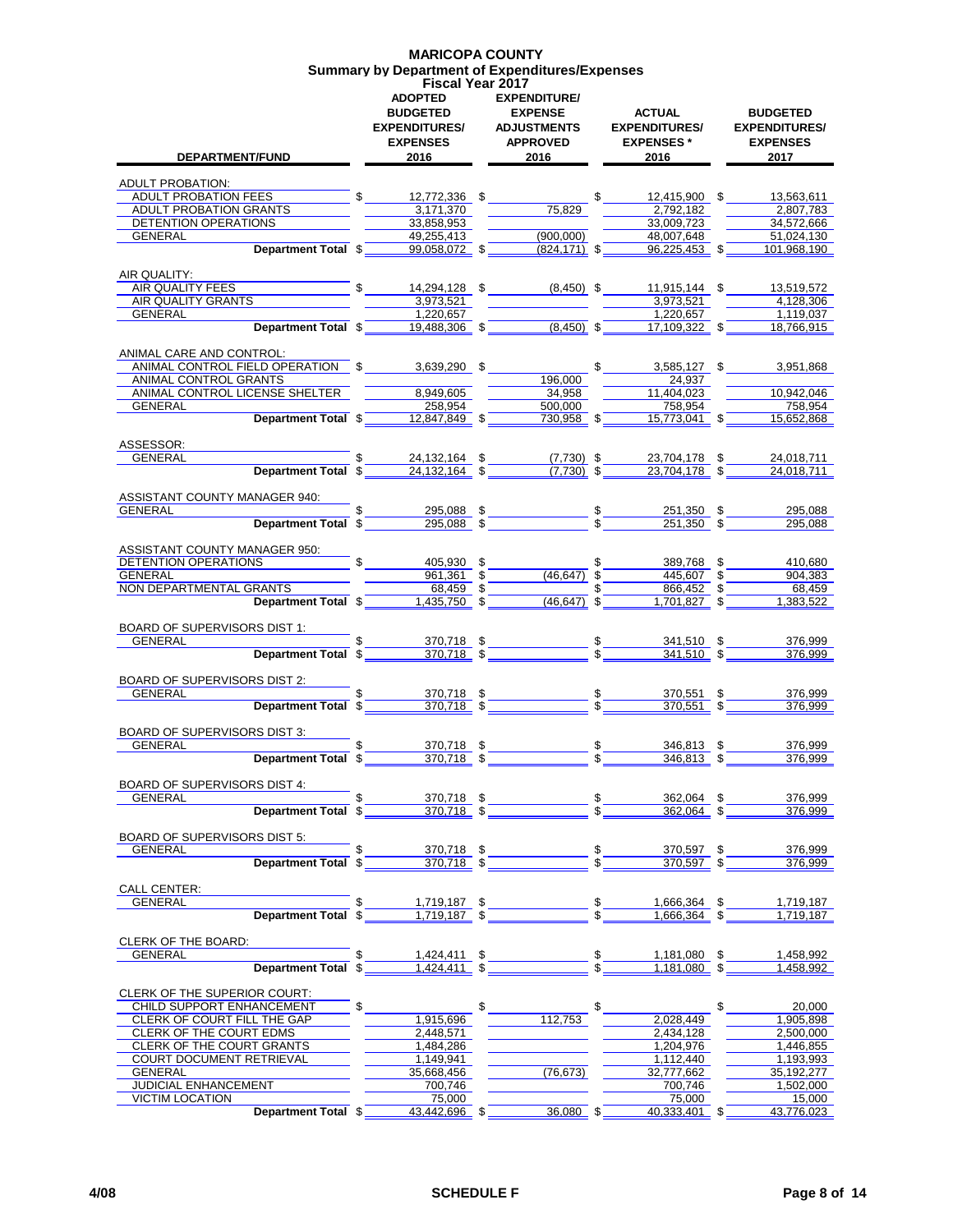### **MARICOPA COUNTY Summary by Department of Expenditures/Expenses Fiscal Year 2017**

| <b>DEPARTMENT/FUND</b>                                        | <b>ADOPTED</b><br><b>BUDGETED</b><br><b>EXPENDITURES/</b><br><b>EXPENSES</b><br>2016 | <b>EXPENDITURE/</b><br><b>EXPENSE</b><br><b>ADJUSTMENTS</b><br><b>APPROVED</b><br>2016 |                 | <b>ACTUAL</b><br><b>EXPENDITURES/</b><br><b>EXPENSES*</b><br>2016            | <b>BUDGETED</b><br><b>EXPENDITURES/</b><br><b>EXPENSES</b><br>2017 |
|---------------------------------------------------------------|--------------------------------------------------------------------------------------|----------------------------------------------------------------------------------------|-----------------|------------------------------------------------------------------------------|--------------------------------------------------------------------|
| <b>ADULT PROBATION:</b>                                       |                                                                                      |                                                                                        |                 |                                                                              |                                                                    |
| ADULT PROBATION FEES                                          | $\mathbb{S}$<br>12,772,336 \$                                                        |                                                                                        | \$              | 12.415.900 \$                                                                | 13,563,611                                                         |
| ADULT PROBATION GRANTS<br>DETENTION OPERATIONS                | 3,171,370<br>33,858,953                                                              | 75,829                                                                                 |                 | 2.792.182<br>33,009,723                                                      | 2,807,783<br>34,572,666                                            |
| GENERAL                                                       | 49,255,413                                                                           | (900,000)                                                                              |                 | 48,007,648                                                                   | 51,024,130                                                         |
| Department Total \$                                           | 99,058,072 \$                                                                        | $(824, 171)$ \$                                                                        |                 | 96,225,453 \$                                                                | 101,968,190                                                        |
|                                                               |                                                                                      |                                                                                        |                 |                                                                              |                                                                    |
| AIR QUALITY:<br>AIR QUALITY FEES                              | $\int$                                                                               | 14,294,128 \$ (8,450) \$                                                               |                 | 11,915,144 \$                                                                | 13,519,572                                                         |
| AIR QUALITY GRANTS                                            | 3,973,521                                                                            |                                                                                        |                 | 3,973,521                                                                    | 4.128.306                                                          |
| GENERAL                                                       | 1,220,657                                                                            |                                                                                        |                 | 1,220,657                                                                    | 1,119,037                                                          |
| Department Total \$                                           | 19,488,306 \$                                                                        | $(8,450)$ \$                                                                           |                 | 17,109,322 \$                                                                | 18,766,915                                                         |
|                                                               |                                                                                      |                                                                                        |                 |                                                                              |                                                                    |
| ANIMAL CARE AND CONTROL:<br>ANIMAL CONTROL FIELD OPERATION \$ | 3,639,290 \$                                                                         |                                                                                        | $\mathfrak s$   | $3,585,127$ \$                                                               | 3,951,868                                                          |
| ANIMAL CONTROL GRANTS                                         |                                                                                      | 196.000                                                                                |                 | 24,937                                                                       |                                                                    |
| ANIMAL CONTROL LICENSE SHELTER                                | 8.949.605                                                                            | 34.958                                                                                 |                 | 11.404.023                                                                   | 10.942.046                                                         |
| <b>GENERAL</b>                                                | 258,954                                                                              | 500.000                                                                                |                 | 758,954                                                                      | 758,954                                                            |
| Department Total \$                                           | $12,847,849$ \$                                                                      | $730,958$ \$                                                                           |                 | $15,773,041$ \$                                                              | 15,652,868                                                         |
| ASSESSOR:                                                     |                                                                                      |                                                                                        |                 |                                                                              |                                                                    |
| <b>GENERAL</b>                                                |                                                                                      | $(7,730)$ \$                                                                           |                 | 23,704,178 \$                                                                | 24,018,711                                                         |
| <b>Department Total \$</b>                                    | $\frac{24,132,164}{24,132,164}$ \$                                                   | $(7.730)$ \$                                                                           |                 | 23,704,178 \$                                                                | 24,018,711                                                         |
|                                                               |                                                                                      |                                                                                        |                 |                                                                              |                                                                    |
| ASSISTANT COUNTY MANAGER 940:                                 |                                                                                      |                                                                                        |                 |                                                                              |                                                                    |
| GENERAL<br>Department Total \$                                | 295,088 \$<br>$295,088$ \$                                                           |                                                                                        | $\frac{\$}{\$}$ | 251,350 \$<br>$251.350$ \$                                                   | 295,088<br>295.088                                                 |
|                                                               |                                                                                      |                                                                                        |                 |                                                                              |                                                                    |
| ASSISTANT COUNTY MANAGER 950:                                 |                                                                                      |                                                                                        |                 |                                                                              |                                                                    |
| DETENTION OPERATIONS                                          | 405,930 \$                                                                           |                                                                                        |                 | 389,768 \$                                                                   | 410,680                                                            |
| GENERAL<br>NON DEPARTMENTAL GRANTS                            | $961,361$ \$<br>$68,459$ \$                                                          | $(46.647)$ \$                                                                          | \$              | 445,607 \$<br>866,452 \$                                                     | 904.383<br>68,459                                                  |
| Department Total \$                                           | $1,435,750$ \$                                                                       | $(46, 647)$ \$                                                                         |                 | 1,701,827 \$                                                                 | 1,383,522                                                          |
|                                                               |                                                                                      |                                                                                        |                 |                                                                              |                                                                    |
| BOARD OF SUPERVISORS DIST 1:                                  |                                                                                      |                                                                                        |                 |                                                                              |                                                                    |
| <b>GENERAL</b>                                                | 370,718 \$                                                                           |                                                                                        |                 | $\frac{\$}{\$}$ 341,510 $\$$<br>$\frac{\$}{\$}$ 341,510 $\$$<br>$341,510$ \$ | 376,999                                                            |
| Department Total \$                                           | $370,718$ \$                                                                         |                                                                                        |                 |                                                                              | 376.999                                                            |
| BOARD OF SUPERVISORS DIST 2:                                  |                                                                                      |                                                                                        |                 |                                                                              |                                                                    |
| GENERAL                                                       | \$<br>$\frac{370,718}{370,718}$ \$                                                   | $rac{\text{1}}{\text{1}}$                                                              |                 | 370,551 \$                                                                   | 376,999                                                            |
| <b>Department Total \$</b>                                    |                                                                                      |                                                                                        |                 | $370.551$ \$                                                                 | 376.999                                                            |
| <b>BOARD OF SUPERVISORS DIST 3:</b>                           |                                                                                      |                                                                                        |                 |                                                                              |                                                                    |
| GENERAL                                                       |                                                                                      |                                                                                        |                 | 346,813 \$                                                                   | 376,999                                                            |
| Department Total \$                                           | $\frac{370,718}{370,718}$ \$                                                         | $rac{\text{1}}{\text{1}}$                                                              |                 | $\frac{1}{346,813}$ \$                                                       | 376,999                                                            |
|                                                               |                                                                                      |                                                                                        |                 |                                                                              |                                                                    |
| <b>BOARD OF SUPERVISORS DIST 4:</b>                           |                                                                                      |                                                                                        |                 |                                                                              |                                                                    |
| GENERAL<br>Department Total \$                                | \$<br>370,718 \$<br>$370,718$ \$                                                     |                                                                                        | \$              | 362,064 \$<br>362,064                                                        | 376,999<br>376,999                                                 |
|                                                               |                                                                                      |                                                                                        |                 |                                                                              |                                                                    |
| BOARD OF SUPERVISORS DIST 5:                                  |                                                                                      |                                                                                        |                 |                                                                              |                                                                    |
| GENERAL<br>Department Total \$                                | 370,718 \$                                                                           |                                                                                        | \$.             | 370,597 \$                                                                   | 376,999                                                            |
|                                                               | $\frac{370,718}{9}$ \$                                                               |                                                                                        |                 | $370,597$ \$                                                                 | 376,999                                                            |
| <b>CALL CENTER:</b>                                           |                                                                                      |                                                                                        |                 |                                                                              |                                                                    |
| GENERAL                                                       | 1,719,187 \$                                                                         |                                                                                        | \$.<br>\$       | 1,666,364 \$                                                                 | 1,719,187                                                          |
| Department Total \$                                           | 1,719,187 \$                                                                         |                                                                                        |                 | 1,666,364 \$                                                                 | 1.719.187                                                          |
| CLERK OF THE BOARD:                                           |                                                                                      |                                                                                        |                 |                                                                              |                                                                    |
| GENERAL                                                       | 1,424,411 \$                                                                         |                                                                                        | \$              | 1,181,080 \$                                                                 | 1,458,992                                                          |
| Department Total \$                                           | $1,424,411$ \$                                                                       |                                                                                        | \$              | $1.181.080$ \$                                                               | 1,458,992                                                          |
|                                                               |                                                                                      |                                                                                        |                 |                                                                              |                                                                    |
| CLERK OF THE SUPERIOR COURT:                                  | \$                                                                                   |                                                                                        |                 |                                                                              |                                                                    |
| CHILD SUPPORT ENHANCEMENT<br>CLERK OF COURT FILL THE GAP      | 1,915,696                                                                            | \$<br>112,753                                                                          | \$              | 2,028,449                                                                    | \$<br>20,000<br>1,905,898                                          |
| CLERK OF THE COURT EDMS                                       | 2,448,571                                                                            |                                                                                        |                 | 2,434,128                                                                    | 2,500,000                                                          |
| <b>CLERK OF THE COURT GRANTS</b>                              | 1,484,286                                                                            |                                                                                        |                 | 1,204,976                                                                    | 1,446,855                                                          |
| COURT DOCUMENT RETRIEVAL                                      | 1,149,941                                                                            |                                                                                        |                 | 1,112,440                                                                    | 1,193,993                                                          |
| GENERAL<br><b>JUDICIAL ENHANCEMENT</b>                        | 35,668,456<br>700,746                                                                | (76, 673)                                                                              |                 | 32,777,662<br>700,746                                                        | 35,192,277<br>1,502,000                                            |
| <b>VICTIM LOCATION</b>                                        | 75,000                                                                               |                                                                                        |                 | 75,000                                                                       | 15,000                                                             |
| Department Total \$                                           | 43,442,696 \$                                                                        | $36,080$ \$                                                                            |                 | 40,333,401 \$                                                                | 43,776,023                                                         |
|                                                               |                                                                                      |                                                                                        |                 |                                                                              |                                                                    |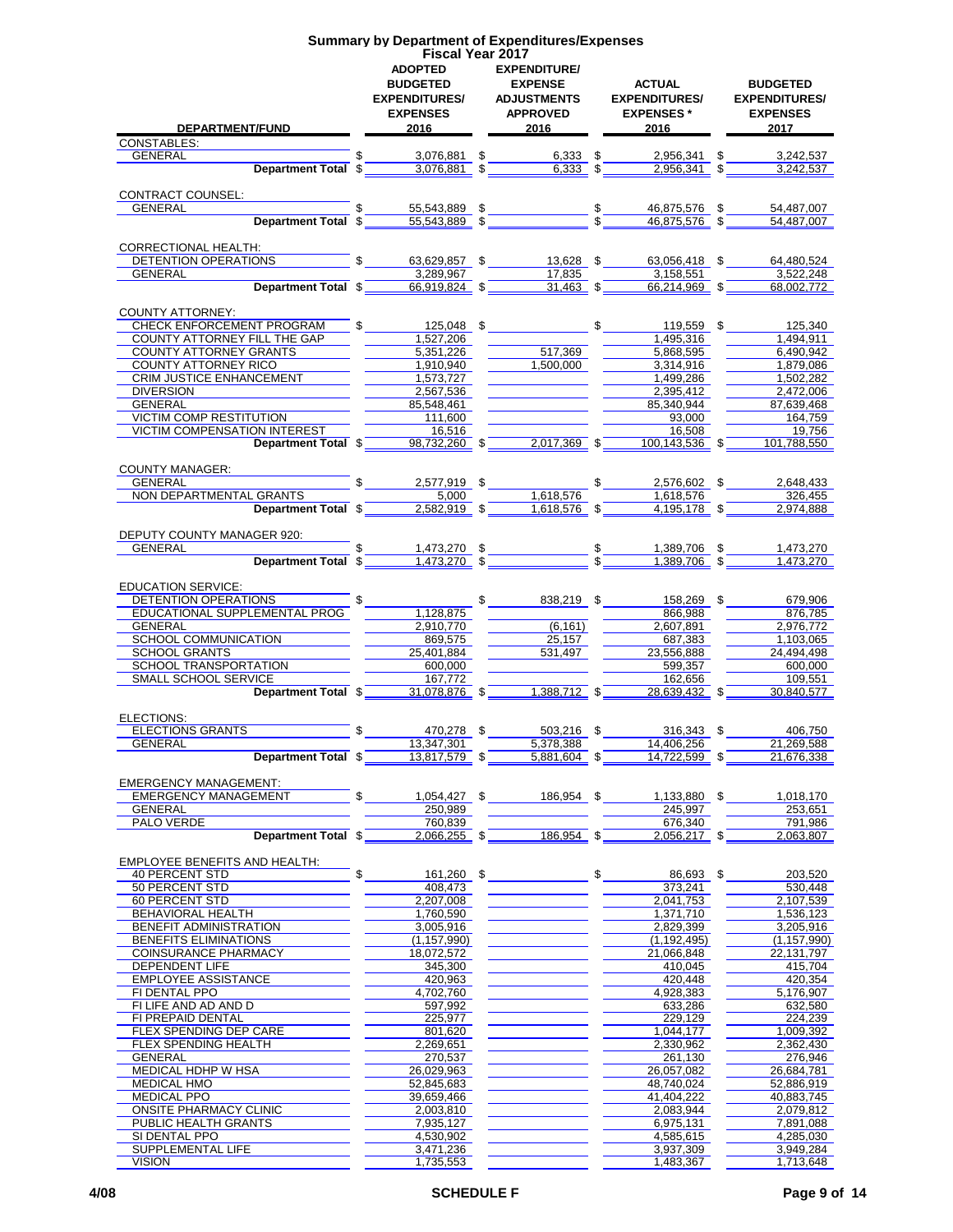|                                     | <b>Summary by Department of Expenditures/Expenses</b> |                        |               |                                |                      |
|-------------------------------------|-------------------------------------------------------|------------------------|---------------|--------------------------------|----------------------|
|                                     | <b>Fiscal Year 2017</b>                               |                        |               |                                |                      |
|                                     | <b>ADOPTED</b>                                        | <b>EXPENDITURE/</b>    |               |                                |                      |
|                                     | <b>BUDGETED</b>                                       | <b>EXPENSE</b>         |               | <b>ACTUAL</b>                  | <b>BUDGETED</b>      |
|                                     | <b>EXPENDITURES/</b>                                  | <b>ADJUSTMENTS</b>     |               | <b>EXPENDITURES/</b>           | <b>EXPENDITURES/</b> |
|                                     | <b>EXPENSES</b>                                       | <b>APPROVED</b>        |               | <b>EXPENSES</b> *              | <b>EXPENSES</b>      |
| DEPARTMENT/FUND                     | 2016                                                  | 2016                   |               | 2016                           | 2017                 |
| <b>CONSTABLES:</b>                  |                                                       |                        |               |                                |                      |
| GENERAL                             | 3,076,881 \$                                          | $6,333$ \$             |               | 2,956,341 \$                   | 3,242,537            |
| Department Total \$                 | $3,076,881$ \$                                        | $6,333$ \$             |               | 2,956,341                      | 3,242,537            |
|                                     |                                                       |                        |               |                                |                      |
| CONTRACT COUNSEL:                   |                                                       |                        |               |                                |                      |
| <b>GENERAL</b>                      | 55,543,889 \$                                         |                        |               | $\frac{1}{s}$<br>46,875,576 \$ | 54,487,007           |
| Department Total \$                 | $55,543,889$ \$                                       |                        |               | $46,875,576$ \$                | 54,487,007           |
|                                     |                                                       |                        |               |                                |                      |
| <b>CORRECTIONAL HEALTH:</b>         |                                                       |                        |               |                                |                      |
| DETENTION OPERATIONS                |                                                       | 63,629,857 \$13,628 \$ |               | 63,056,418 \$                  | 64,480,524           |
| <b>GENERAL</b>                      | 3,289,967                                             | 17,835                 |               | 3,158,551                      | 3,522,248            |
| Department Total \$                 | $66,919,824$ \$                                       | $31,463$ \$            |               | 66,214,969 \$                  | 68,002,772           |
|                                     |                                                       |                        |               |                                |                      |
| <b>COUNTY ATTORNEY:</b>             |                                                       |                        |               |                                |                      |
| CHECK ENFORCEMENT PROGRAM           | \$<br>125,048 \$                                      |                        | \$            | 119,559 \$                     | 125,340              |
| <b>COUNTY ATTORNEY FILL THE GAP</b> | 1,527,206                                             |                        |               | 1,495,316                      | 1,494,911            |
| COUNTY ATTORNEY GRANTS              | 5,351,226                                             | 517,369                |               | 5,868,595                      | 6,490,942            |
| COUNTY ATTORNEY RICO                | 1,910,940                                             | 1,500,000              |               | 3,314,916                      | 1,879,086            |
| <b>CRIM JUSTICE ENHANCEMENT</b>     | 1,573,727                                             |                        |               | 1,499,286                      | 1.502.282            |
| <b>DIVERSION</b>                    | 2,567,536                                             |                        |               | 2,395,412                      | 2,472,006            |
| GENERAL                             | 85,548,461                                            |                        |               | 85.340.944                     | 87.639.468           |
| <b>VICTIM COMP RESTITUTION</b>      | 111,600                                               |                        |               | 93,000                         | 164.759              |
| VICTIM COMPENSATION INTEREST        | 16.516                                                |                        |               | 16,508                         | 19,756               |
|                                     |                                                       | $2,017,369$ \$         |               | 100.143.536 \$                 |                      |
| Department Total \$                 | $98,732,260$ \$                                       |                        |               |                                | 101,788,550          |
|                                     |                                                       |                        |               |                                |                      |
| <b>COUNTY MANAGER:</b>              |                                                       |                        |               |                                |                      |
| GENERAL                             | 2,577,919 \$                                          |                        |               | 2,576,602 \$                   | 2,648,433            |
| NON DEPARTMENTAL GRANTS             | 5.000                                                 | 1,618,576              |               | 1,618,576                      | 326,455              |
| Department Total \$                 | $2,582,919$ \$                                        | $1,618,576$ \$         |               | 4.195.178 \$                   | 2.974.888            |
|                                     |                                                       |                        |               |                                |                      |
| DEPUTY COUNTY MANAGER 920:          |                                                       |                        |               |                                |                      |
| GENERAL                             | 1,473,270 \$                                          |                        | $\frac{1}{3}$ | 1,389,706 \$                   | 1,473,270            |
| Department Total \$                 | $1,473,270$ \$                                        |                        |               | 1.389.706                      | 1,473,270            |
|                                     |                                                       |                        |               |                                |                      |
| <b>EDUCATION SERVICE:</b>           |                                                       |                        |               |                                |                      |
| DETENTION OPERATIONS                |                                                       | 838,219 \$             |               | 158,269 \$                     | 679,906              |
| EDUCATIONAL SUPPLEMENTAL PROG       | 1,128,875                                             |                        |               | 866,988                        | 876,785              |
| GENERAL                             | 2,910,770                                             | (6, 161)               |               | 2,607,891                      | 2,976,772            |
| SCHOOL COMMUNICATION                | 869,575                                               | 25.157                 |               | 687,383                        | 1,103,065            |
| <b>SCHOOL GRANTS</b>                | 25,401,884                                            | 531,497                |               | 23,556,888                     | 24,494,498           |
| SCHOOL TRANSPORTATION               | 600,000                                               |                        |               | 599,357                        | 600,000              |
| <b>SMALL SCHOOL SERVICE</b>         | 167.772                                               |                        |               | 162,656                        | 109,551              |
| Department Total \$                 | 31.078.876 \$                                         | 1,388,712 \$           |               | 28.639.432 \$                  | 30.840.577           |
|                                     |                                                       |                        |               |                                |                      |
| ELECTIONS:                          |                                                       |                        |               |                                |                      |
| <b>ELECTIONS GRANTS</b>             | 470,278 \$                                            | 503,216 \$             |               | $316,343$ \$                   | 406,750              |
| GENERAL                             | 13,347,301                                            | 5,378,388              |               | 14,406,256                     | 21,269,588           |
| Department Total \$                 | 13,817,579 \$                                         | $5,881,604$ \$         |               | 14,722,599 \$                  | 21,676,338           |
|                                     |                                                       |                        |               |                                |                      |
| <b>EMERGENCY MANAGEMENT:</b>        |                                                       |                        |               |                                |                      |
| <b>EMERGENCY MANAGEMENT</b>         | \$<br>$1,054,427$ \$                                  | 186,954 \$             |               | 1,133,880 \$                   | 1,018,170            |
| <b>GENERAL</b>                      | 250.989                                               |                        |               | 245,997                        | 253,651              |
| PALO VERDE                          | 760.839                                               |                        |               | 676,340                        | 791,986              |
| Department Total \$                 | $2,066,255$ \$                                        | 186,954 \$             |               | $2,056,217$ \$                 | 2.063.807            |
|                                     |                                                       |                        |               |                                |                      |
| EMPLOYEE BENEFITS AND HEALTH:       |                                                       |                        |               |                                |                      |
| <b>40 PERCENT STD</b>               | 161,260 \$                                            |                        | \$            | 86,693 \$                      | 203,520              |
| 50 PERCENT STD                      | 408.473                                               |                        |               | 373,241                        | 530,448              |
| 60 PERCENT STD                      | 2,207,008                                             |                        |               | 2,041,753                      | 2,107,539            |
| BEHAVIORAL HEALTH                   | 1,760,590                                             |                        |               | 1,371,710                      | 1,536,123            |
| BENEFIT ADMINISTRATION              | 3,005,916                                             |                        |               | 2,829,399                      | 3,205,916            |
| BENEFITS ELIMINATIONS               | (1, 157, 990)                                         |                        |               | (1, 192, 495)                  | (1, 157, 990)        |
| COINSURANCE PHARMACY                | 18,072,572                                            |                        |               | 21,066,848                     | 22,131,797           |
| DEPENDENT LIFE                      | 345,300                                               |                        |               | 410,045                        | 415,704              |
|                                     |                                                       |                        |               |                                |                      |
| <b>EMPLOYEE ASSISTANCE</b>          | 420,963                                               |                        |               | 420,448                        | 420,354<br>5,176,907 |
| FI DENTAL PPO                       | 4,702,760                                             |                        |               | 4,928,383                      |                      |
| FI LIFE AND AD AND D                | 597,992                                               |                        |               | 633,286                        | 632,580              |
| FI PREPAID DENTAL                   | 225,977                                               |                        |               | 229,129                        | 224,239              |
| FLEX SPENDING DEP CARE              | 801,620                                               |                        |               | 1,044,177                      | 1,009,392            |
| FLEX SPENDING HEALTH                | 2,269,651                                             |                        |               | 2,330,962                      | 2,362,430            |
| <b>GENERAL</b>                      | 270,537                                               |                        |               | 261,130                        | 276,946              |
| MEDICAL HDHP W HSA                  | 26,029,963                                            |                        |               | 26,057,082                     | 26,684,781           |
| <b>MEDICAL HMO</b>                  | 52,845,683                                            |                        |               | 48,740,024                     | 52,886,919           |
| <b>MEDICAL PPO</b>                  | 39,659,466                                            |                        |               | 41,404,222                     | 40,883,745           |
| ONSITE PHARMACY CLINIC              | 2,003,810                                             |                        |               | 2,083,944                      | 2,079,812            |
| PUBLIC HEALTH GRANTS                | 7,935,127                                             |                        |               | 6,975,131                      | 7,891,088            |
| SI DENTAL PPO                       | 4,530,902                                             |                        |               | 4,585,615                      | 4,285,030            |

SUPPLEMENTAL LIFE 3,471,236 \_\_\_\_\_\_\_\_\_\_\_\_\_\_\_\_\_\_\_\_\_\_\_\_\_\_\_\_\_\_\_\_\_3,937,309 \_\_\_\_\_\_\_\_\_\_\_\_\_\_\_\_3,949,284 VISION 1,735,553 1,483,367 1,713,648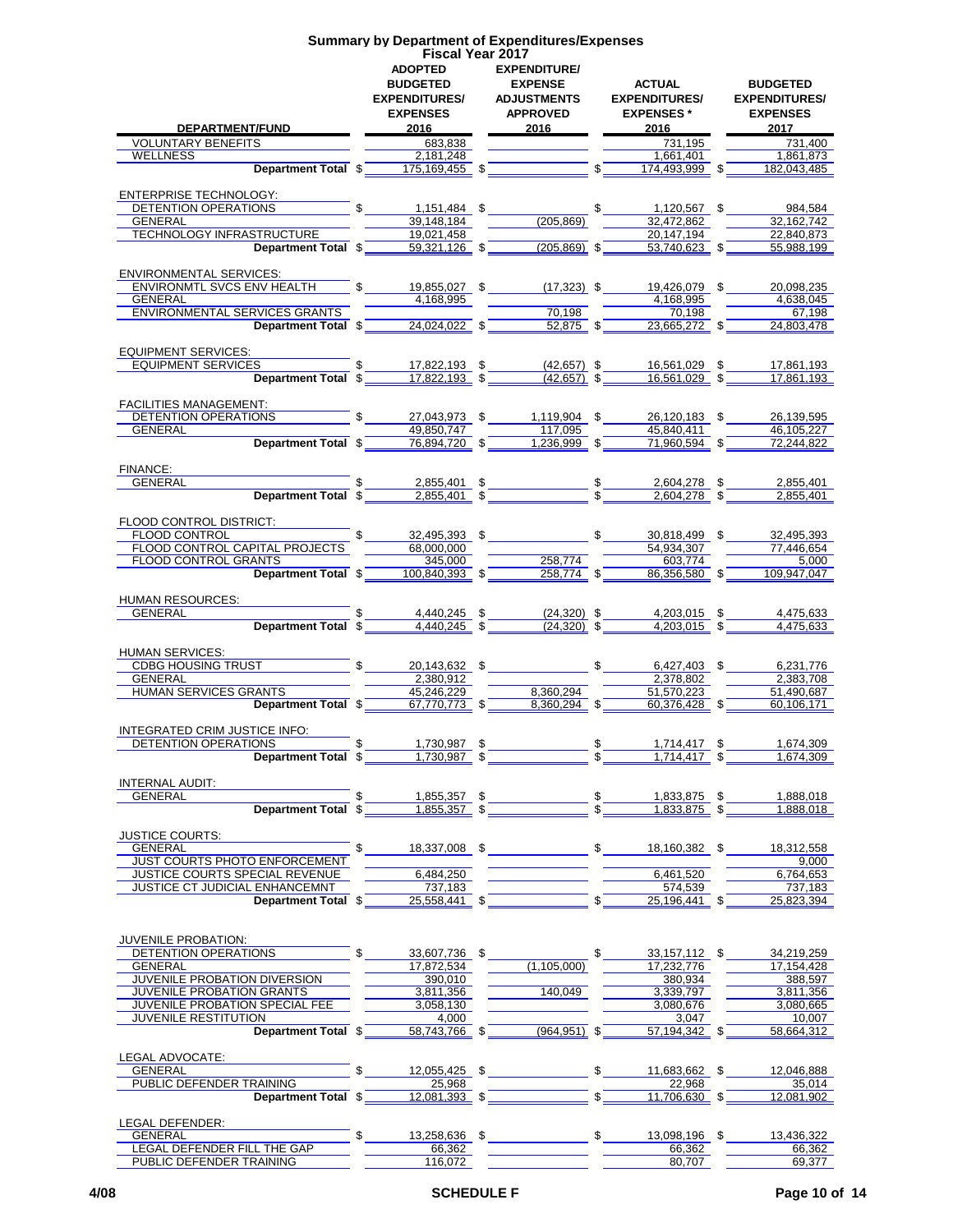|                                                       |              | <b>Fiscal Year 2017</b><br><b>ADOPTED</b><br><b>BUDGETED</b> | <b>EXPENDITURE/</b><br><b>EXPENSE</b>                                                                                                                     |                 | ACTUAL                                                                                                                                                                                                                                                                                                                                                                                                  | <b>BUDGETED</b>                                 |
|-------------------------------------------------------|--------------|--------------------------------------------------------------|-----------------------------------------------------------------------------------------------------------------------------------------------------------|-----------------|---------------------------------------------------------------------------------------------------------------------------------------------------------------------------------------------------------------------------------------------------------------------------------------------------------------------------------------------------------------------------------------------------------|-------------------------------------------------|
| <b>DEPARTMENT/FUND</b>                                |              | <b>EXPENDITURES/</b><br><b>EXPENSES</b><br>2016              | <b>ADJUSTMENTS</b><br><b>APPROVED</b><br>2016                                                                                                             |                 | <b>EXPENDITURES/</b><br><b>EXPENSES</b> *<br>2016                                                                                                                                                                                                                                                                                                                                                       | <b>EXPENDITURES/</b><br><b>EXPENSES</b><br>2017 |
| <b>VOLUNTARY BENEFITS</b>                             |              | 683,838                                                      |                                                                                                                                                           |                 | 731,195                                                                                                                                                                                                                                                                                                                                                                                                 | 731,400                                         |
| WELLNESS                                              |              | 2.181.248                                                    |                                                                                                                                                           |                 | 1.661.401                                                                                                                                                                                                                                                                                                                                                                                               | 1.861.873                                       |
|                                                       |              |                                                              |                                                                                                                                                           | $\sqrt[6]{-}$   | 174,493,999 \$                                                                                                                                                                                                                                                                                                                                                                                          | 182,043,485                                     |
| ENTERPRISE TECHNOLOGY:                                |              |                                                              |                                                                                                                                                           |                 |                                                                                                                                                                                                                                                                                                                                                                                                         |                                                 |
| DETENTION OPERATIONS                                  |              |                                                              |                                                                                                                                                           |                 | $\frac{\frac{1}{2} \cdot \frac{1}{2} + \frac{1}{2} + \frac{1}{2} + \frac{1}{2} + \frac{1}{2} + \frac{1}{2} + \frac{1}{2} + \frac{1}{2} + \frac{1}{2} + \frac{1}{2} + \frac{1}{2} + \frac{1}{2} + \frac{1}{2} + \frac{1}{2} + \frac{1}{2} + \frac{1}{2} + \frac{1}{2} + \frac{1}{2} + \frac{1}{2} + \frac{1}{2} + \frac{1}{2} + \frac{1}{2} + \frac{1}{2} + \frac{1}{2} + \frac{1}{2} + \frac{1}{2} + \$ |                                                 |
| GENERAL                                               |              |                                                              |                                                                                                                                                           |                 |                                                                                                                                                                                                                                                                                                                                                                                                         |                                                 |
| TECHNOLOGY INFRASTRUCTURE                             |              | 19,021,458                                                   |                                                                                                                                                           |                 | 20,147,194                                                                                                                                                                                                                                                                                                                                                                                              | 22,840,873                                      |
|                                                       |              |                                                              | <b>Department Total <math>\sqrt[6]{\hspace{1cm}59.321,126}</math> <math>\sqrt[6]{\hspace{1cm} (205.869)}</math> <math>\sqrt[6]{\hspace{1cm} 5}</math></b> |                 | $53,740,623$ \$                                                                                                                                                                                                                                                                                                                                                                                         | 55,988,199                                      |
| <b>ENVIRONMENTAL SERVICES:</b>                        |              |                                                              |                                                                                                                                                           |                 |                                                                                                                                                                                                                                                                                                                                                                                                         |                                                 |
| ENVIRONMTL SVCS ENV HEALTH                            |              | 4,168,995                                                    | 19,855,027 \$ (17,323) \$                                                                                                                                 |                 | 19,426,079 \$                                                                                                                                                                                                                                                                                                                                                                                           | 20,098,235                                      |
| GENERAL<br><b>ENVIRONMENTAL SERVICES GRANTS</b>       |              |                                                              | 70,198                                                                                                                                                    |                 | 4,168,995<br>70,198                                                                                                                                                                                                                                                                                                                                                                                     | 4,638,045<br>67.198                             |
| Department Total \$                                   |              | $24,024,022$ \$                                              | $52,875$ \$                                                                                                                                               |                 | 23,665,272 \$                                                                                                                                                                                                                                                                                                                                                                                           | 24,803,478                                      |
| <b>EQUIPMENT SERVICES:</b>                            |              |                                                              |                                                                                                                                                           |                 |                                                                                                                                                                                                                                                                                                                                                                                                         |                                                 |
| EQUIPMENT SERVICES                                    |              | $$ 17,822,193$ \$                                            |                                                                                                                                                           |                 | $(42,657)$ \$ 16,561,029 \$                                                                                                                                                                                                                                                                                                                                                                             | 17,861,193                                      |
| Department Total \$17,822,193 \$                      |              |                                                              | $(42,657)$ \$                                                                                                                                             |                 | 16.561.029 \$                                                                                                                                                                                                                                                                                                                                                                                           | 17.861.193                                      |
|                                                       |              |                                                              |                                                                                                                                                           |                 |                                                                                                                                                                                                                                                                                                                                                                                                         |                                                 |
| <b>FACILITIES MANAGEMENT:</b><br>DETENTION OPERATIONS |              |                                                              | 27,043,973 \$1,119,904 \$                                                                                                                                 |                 | 26,120,183 \$                                                                                                                                                                                                                                                                                                                                                                                           | 26,139,595                                      |
| <b>GENERAL</b>                                        |              | 49,850,747                                                   | 117.095                                                                                                                                                   |                 | 45.840.411                                                                                                                                                                                                                                                                                                                                                                                              | 46,105,227                                      |
| Department Total \$                                   |              | $76,894,720$ \$                                              | $1,236,999$ \$                                                                                                                                            |                 | $71,960,594$ \$                                                                                                                                                                                                                                                                                                                                                                                         | 72.244.822                                      |
|                                                       |              |                                                              |                                                                                                                                                           |                 |                                                                                                                                                                                                                                                                                                                                                                                                         |                                                 |
| FINANCE:                                              |              |                                                              |                                                                                                                                                           |                 |                                                                                                                                                                                                                                                                                                                                                                                                         |                                                 |
| GENERAL<br><b>Department Total \$</b>                 |              |                                                              | $2,855,401$ \$<br><u>2,855,401</u> \$                                                                                                                     |                 | 2,604,278 \$<br>$2,604,278$ \$                                                                                                                                                                                                                                                                                                                                                                          | 2,855,401<br>2,855,401                          |
|                                                       |              |                                                              |                                                                                                                                                           |                 |                                                                                                                                                                                                                                                                                                                                                                                                         |                                                 |
| FLOOD CONTROL DISTRICT:                               |              |                                                              |                                                                                                                                                           |                 |                                                                                                                                                                                                                                                                                                                                                                                                         |                                                 |
| FLOOD CONTROL ELECTRONIC STATES                       |              |                                                              | $32,495,393$ \$                                                                                                                                           |                 | 30,818,499 \$                                                                                                                                                                                                                                                                                                                                                                                           | 32,495,393                                      |
| FLOOD CONTROL CAPITAL PROJECTS                        |              | 68,000,000                                                   |                                                                                                                                                           |                 | 54,934,307                                                                                                                                                                                                                                                                                                                                                                                              | 77.446.654                                      |
| FLOOD CONTROL GRANTS<br>Department Total \$           |              | 345,000<br>$100,840,393$ \$                                  | 258,774<br>$258,774$ \$                                                                                                                                   |                 | 603,774<br>86,356,580 \$                                                                                                                                                                                                                                                                                                                                                                                | 5,000<br>109.947.047                            |
|                                                       |              |                                                              |                                                                                                                                                           |                 |                                                                                                                                                                                                                                                                                                                                                                                                         |                                                 |
| HUMAN RESOURCES:                                      |              |                                                              |                                                                                                                                                           |                 |                                                                                                                                                                                                                                                                                                                                                                                                         |                                                 |
| GENERAL                                               |              | 4,440,245 \$                                                 | $(24,320)$ \$                                                                                                                                             |                 | 4,203,015 \$                                                                                                                                                                                                                                                                                                                                                                                            | 4.475.633                                       |
| Department Total \$                                   |              |                                                              |                                                                                                                                                           |                 | $4,440,245$ \$ $(24,320)$ \$ $4,203,015$ \$                                                                                                                                                                                                                                                                                                                                                             | 4,475,633                                       |
| <b>HUMAN SERVICES:</b>                                |              |                                                              |                                                                                                                                                           |                 |                                                                                                                                                                                                                                                                                                                                                                                                         |                                                 |
| CDBG HOUSING TRUST                                    | $\mathbb{S}$ |                                                              | 20,143,632 \$                                                                                                                                             |                 | $$6,427,403$ \$                                                                                                                                                                                                                                                                                                                                                                                         | 6,231,776                                       |
| GENERAL                                               |              | 2,380,912                                                    |                                                                                                                                                           |                 | 2,378,802                                                                                                                                                                                                                                                                                                                                                                                               | 2,383,708                                       |
| HUMAN SERVICES GRANTS                                 |              | 45,246,229                                                   | 8.360.294                                                                                                                                                 |                 | 51,570,223                                                                                                                                                                                                                                                                                                                                                                                              | 51,490,687                                      |
| Department Total \$                                   |              |                                                              | $\underbrace{67.770.773}_{ }$ \$ $\underbrace{360.294}_{ }$ \$                                                                                            |                 | $60,376,428$ \$                                                                                                                                                                                                                                                                                                                                                                                         | 60,106,171                                      |
| INTEGRATED CRIM JUSTICE INFO:                         |              |                                                              |                                                                                                                                                           |                 |                                                                                                                                                                                                                                                                                                                                                                                                         |                                                 |
| DETENTION OPERATIONS                                  |              | 1,730,987 \$                                                 |                                                                                                                                                           | \$              | 1,714,417 \$                                                                                                                                                                                                                                                                                                                                                                                            | 1,674,309                                       |
| Department Total \$ ________ 1,730,987 \$             |              |                                                              |                                                                                                                                                           | $\mathbb{S}$    | $1,714,417$ \$                                                                                                                                                                                                                                                                                                                                                                                          | 1,674,309                                       |
| <b>INTERNAL AUDIT:</b>                                |              |                                                              |                                                                                                                                                           |                 |                                                                                                                                                                                                                                                                                                                                                                                                         |                                                 |
| GENERAL                                               |              | 1,855,357 \$                                                 |                                                                                                                                                           |                 | 1,833,875 \$                                                                                                                                                                                                                                                                                                                                                                                            | 1,888,018                                       |
| Department Total \$                                   |              | $1,855,357$ \$                                               |                                                                                                                                                           | $\frac{\$}{\$}$ | 1,833,875 \$                                                                                                                                                                                                                                                                                                                                                                                            | 1.888.018                                       |
|                                                       |              |                                                              |                                                                                                                                                           |                 |                                                                                                                                                                                                                                                                                                                                                                                                         |                                                 |
| <b>JUSTICE COURTS:</b><br>GENERAL                     |              |                                                              | 18,337,008 \$                                                                                                                                             | $\mathbb{S}$    | 18,160,382 \$                                                                                                                                                                                                                                                                                                                                                                                           | 18.312.558                                      |
| JUST COURTS PHOTO ENFORCEMENT                         |              |                                                              |                                                                                                                                                           |                 |                                                                                                                                                                                                                                                                                                                                                                                                         | 9,000                                           |
| JUSTICE COURTS SPECIAL REVENUE                        |              | 6.484.250                                                    |                                                                                                                                                           |                 | 6.461.520                                                                                                                                                                                                                                                                                                                                                                                               | 6,764,653                                       |
| JUSTICE CT JUDICIAL ENHANCEMNT                        |              | 737,183                                                      |                                                                                                                                                           |                 | 574,539                                                                                                                                                                                                                                                                                                                                                                                                 | 737,183                                         |
| Department Total \$                                   |              | $25,558,441$ \$                                              |                                                                                                                                                           |                 | 25,196,441 \$                                                                                                                                                                                                                                                                                                                                                                                           | 25,823,394                                      |
|                                                       |              |                                                              |                                                                                                                                                           |                 |                                                                                                                                                                                                                                                                                                                                                                                                         |                                                 |
| <b>JUVENILE PROBATION:</b>                            |              |                                                              |                                                                                                                                                           |                 |                                                                                                                                                                                                                                                                                                                                                                                                         |                                                 |
| DETENTION OPERATIONS                                  |              | 33,607,736 \$                                                |                                                                                                                                                           | \$              | 33, 157, 112 \$                                                                                                                                                                                                                                                                                                                                                                                         | 34,219,259                                      |
| GENERAL<br>JUVENILE PROBATION DIVERSION               |              | 17,872,534<br>390,010                                        | (1,105,000)                                                                                                                                               |                 | 17,232,776<br>380,934                                                                                                                                                                                                                                                                                                                                                                                   | 17,154,428<br>388,597                           |
| JUVENILE PROBATION GRANTS                             |              | 3,811,356                                                    | 140,049                                                                                                                                                   |                 | 3,339,797                                                                                                                                                                                                                                                                                                                                                                                               | 3,811,356                                       |
| JUVENILE PROBATION SPECIAL FEE                        |              | 3,058,130                                                    |                                                                                                                                                           |                 | 3,080,676                                                                                                                                                                                                                                                                                                                                                                                               | 3,080,665                                       |
| <b>JUVENILE RESTITUTION</b>                           |              | 4,000                                                        |                                                                                                                                                           |                 | 3,047                                                                                                                                                                                                                                                                                                                                                                                                   | 10,007                                          |
| Department Total \$                                   |              | 58,743,766 \$                                                | $(964, 951)$ \$                                                                                                                                           |                 | 57,194,342 \$                                                                                                                                                                                                                                                                                                                                                                                           | 58,664,312                                      |
| LEGAL ADVOCATE:                                       |              |                                                              |                                                                                                                                                           |                 |                                                                                                                                                                                                                                                                                                                                                                                                         |                                                 |
| GENERAL                                               |              | 12,055,425 \$                                                |                                                                                                                                                           | \$              | 11,683,662 \$                                                                                                                                                                                                                                                                                                                                                                                           | 12,046,888                                      |
| PUBLIC DEFENDER TRAINING                              |              | 25,968                                                       |                                                                                                                                                           |                 | 22,968                                                                                                                                                                                                                                                                                                                                                                                                  | 35,014                                          |
| Department Total \$                                   |              | 12,081,393 \$                                                |                                                                                                                                                           |                 | 11,706,630 \$                                                                                                                                                                                                                                                                                                                                                                                           | 12,081,902                                      |
|                                                       |              |                                                              |                                                                                                                                                           |                 |                                                                                                                                                                                                                                                                                                                                                                                                         |                                                 |
| LEGAL DEFENDER:<br>GENERAL                            |              | 13,258,636 \$                                                |                                                                                                                                                           |                 | $\mathfrak s$<br>13,098,196 \$                                                                                                                                                                                                                                                                                                                                                                          | 13,436,322                                      |
|                                                       |              |                                                              |                                                                                                                                                           |                 |                                                                                                                                                                                                                                                                                                                                                                                                         |                                                 |

**Summary by Department of Expenditures/Expenses**

LEGAL DEFENDER FILL THE GAP 66,362 66,362 66,362 PUBLIC DEFENDER TRAINING 116,072 \_\_\_\_\_\_\_\_\_\_\_\_\_\_\_\_ \_\_\_\_\_\_\_\_\_\_\_\_\_80,707 \_\_\_\_\_\_\_\_\_\_\_\_69,377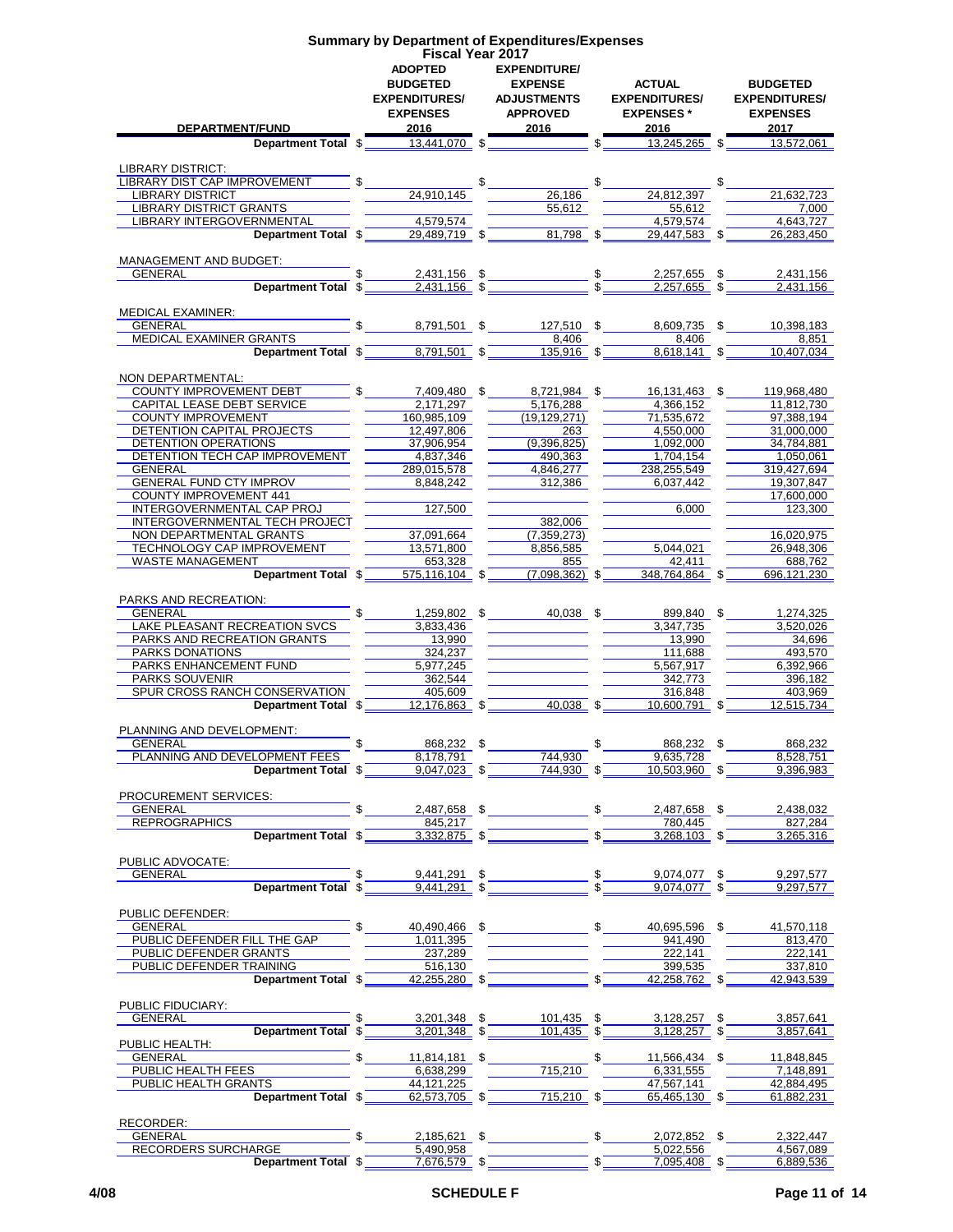|                                                  |               |                         | <b>Summary by Department of Expenditures/Expenses</b> |                                                                                                                                                                                                                                                              |                          |
|--------------------------------------------------|---------------|-------------------------|-------------------------------------------------------|--------------------------------------------------------------------------------------------------------------------------------------------------------------------------------------------------------------------------------------------------------------|--------------------------|
|                                                  |               | <b>Fiscal Year 2017</b> |                                                       |                                                                                                                                                                                                                                                              |                          |
|                                                  |               | <b>ADOPTED</b>          | <b>EXPENDITURE/</b>                                   |                                                                                                                                                                                                                                                              |                          |
|                                                  |               | <b>BUDGETED</b>         | <b>EXPENSE</b>                                        | <b>ACTUAL</b>                                                                                                                                                                                                                                                | <b>BUDGETED</b>          |
|                                                  |               | <b>EXPENDITURES/</b>    | <b>ADJUSTMENTS</b>                                    | <b>EXPENDITURES/</b>                                                                                                                                                                                                                                         | <b>EXPENDITURES/</b>     |
|                                                  |               | <b>EXPENSES</b>         | <b>APPROVED</b>                                       | <b>EXPENSES*</b>                                                                                                                                                                                                                                             | <b>EXPENSES</b>          |
| DEPARTMENT/FUND<br>Department Total \$           |               | 2016<br>$13,441,070$ \$ | 2016                                                  | 2016<br>\$<br>13,245,265                                                                                                                                                                                                                                     | 2017<br>13,572,061       |
|                                                  |               |                         |                                                       |                                                                                                                                                                                                                                                              |                          |
| <b>LIBRARY DISTRICT:</b>                         |               |                         |                                                       |                                                                                                                                                                                                                                                              |                          |
| LIBRARY DIST CAP IMPROVEMENT                     | \$            |                         | \$                                                    | \$<br>\$                                                                                                                                                                                                                                                     |                          |
| <b>LIBRARY DISTRICT</b>                          |               | 24,910,145              | 26,186                                                | 24,812,397                                                                                                                                                                                                                                                   | 21,632,723               |
| <b>LIBRARY DISTRICT GRANTS</b>                   |               |                         | 55,612                                                | 55.612                                                                                                                                                                                                                                                       | 7,000                    |
| <b>LIBRARY INTERGOVERNMENTAL</b>                 |               | 4,579,574               |                                                       | 4.579.574                                                                                                                                                                                                                                                    | 4,643,727                |
| Department Total \$                              |               | 29,489,719 \$           | 81,798 \$                                             | 29,447,583                                                                                                                                                                                                                                                   | 26,283,450               |
| <b>MANAGEMENT AND BUDGET:</b>                    |               |                         |                                                       |                                                                                                                                                                                                                                                              |                          |
| GENERAL                                          | \$            | 2,431,156 \$            |                                                       | 2,257,655<br>\$                                                                                                                                                                                                                                              | 2,431,156                |
| Department Total \$                              |               | $2,431,156$ \$          |                                                       | 2,257,655<br>\$                                                                                                                                                                                                                                              | 2,431,156                |
|                                                  |               |                         |                                                       |                                                                                                                                                                                                                                                              |                          |
| <b>MEDICAL EXAMINER:</b>                         |               |                         |                                                       |                                                                                                                                                                                                                                                              |                          |
| <b>GENERAL</b>                                   | $\mathbb{S}$  | 8,791,501 \$            | 127,510 \$                                            | 8,609,735 \$                                                                                                                                                                                                                                                 | 10,398,183               |
| MEDICAL EXAMINER GRANTS                          |               | 8.791.501 \$            | 8,406                                                 | 8,406                                                                                                                                                                                                                                                        | 8,851                    |
| Department Total \$                              |               |                         | $135,916$ \$                                          | $8,618,141$ \$                                                                                                                                                                                                                                               | 10,407,034               |
| NON DEPARTMENTAL:                                |               |                         |                                                       |                                                                                                                                                                                                                                                              |                          |
| COUNTY IMPROVEMENT DEBT                          | \$            | 7.409.480 \$            | 8,721,984 \$                                          | 16,131,463 \$                                                                                                                                                                                                                                                | 119,968,480              |
| CAPITAL LEASE DEBT SERVICE                       |               | 2,171,297               | 5,176,288                                             | 4,366,152                                                                                                                                                                                                                                                    | 11,812,730               |
| <b>COUNTY IMPROVEMENT</b>                        |               | 160.985.109             | (19, 129, 271)                                        | 71,535,672                                                                                                                                                                                                                                                   | 97,388,194               |
| DETENTION CAPITAL PROJECTS                       |               | 12,497,806              | 263                                                   | 4,550,000                                                                                                                                                                                                                                                    | 31,000,000               |
| DETENTION OPERATIONS                             |               | 37,906,954              | (9,396,825)                                           | 1,092,000                                                                                                                                                                                                                                                    | 34.784.881               |
| DETENTION TECH CAP IMPROVEMENT                   |               | 4,837,346               | 490,363                                               | 1,704,154                                                                                                                                                                                                                                                    | 1,050,061                |
| <b>GENERAL</b><br><b>GENERAL FUND CTY IMPROV</b> |               | 289.015.578             | 4.846.277                                             | 238,255,549                                                                                                                                                                                                                                                  | 319,427,694              |
| <b>COUNTY IMPROVEMENT 441</b>                    |               | 8,848,242               | 312,386                                               | 6,037,442                                                                                                                                                                                                                                                    | 19,307,847<br>17,600,000 |
| INTERGOVERNMENTAL CAP PROJ                       |               | 127,500                 |                                                       | 6,000                                                                                                                                                                                                                                                        | 123,300                  |
| INTERGOVERNMENTAL TECH PROJECT                   |               |                         | 382,006                                               |                                                                                                                                                                                                                                                              |                          |
| <b>NON DEPARTMENTAL GRANTS</b>                   |               | 37,091,664              | (7,359,273)                                           |                                                                                                                                                                                                                                                              | 16,020,975               |
| <b>TECHNOLOGY CAP IMPROVEMENT</b>                |               | 13,571,800              | 8,856,585                                             | 5,044,021                                                                                                                                                                                                                                                    | 26,948,306               |
| <b>WASTE MANAGEMENT</b>                          |               | 653,328                 | 855                                                   | 42,411                                                                                                                                                                                                                                                       | 688,762                  |
| Department Total \$                              |               | 575,116,104 \$          | $(7,098,362)$ \$                                      | 348,764,864                                                                                                                                                                                                                                                  | 696,121,230              |
|                                                  |               |                         |                                                       |                                                                                                                                                                                                                                                              |                          |
| PARKS AND RECREATION:<br><b>GENERAL</b>          |               | 1,259,802 \$            | 40,038 \$                                             | 899,840<br>\$                                                                                                                                                                                                                                                | 1,274,325                |
| LAKE PLEASANT RECREATION SVCS                    |               | 3,833,436               |                                                       | 3,347,735                                                                                                                                                                                                                                                    | 3,520,026                |
| PARKS AND RECREATION GRANTS                      |               | 13,990                  |                                                       | 13.990                                                                                                                                                                                                                                                       | 34.696                   |
| PARKS DONATIONS                                  |               | 324,237                 |                                                       | 111,688                                                                                                                                                                                                                                                      | 493,570                  |
| <b>PARKS ENHANCEMENT FUND</b>                    |               | 5,977,245               |                                                       | 5,567,917                                                                                                                                                                                                                                                    | 6,392,966                |
| <b>PARKS SOUVENIR</b>                            |               | 362,544                 |                                                       | 342,773                                                                                                                                                                                                                                                      | 396.182                  |
| SPUR CROSS RANCH CONSERVATION                    |               | 405,609                 |                                                       | 316,848                                                                                                                                                                                                                                                      | 403,969                  |
| Department Total \$                              |               | 12,176,863 \$           | 40.038 \$                                             | 10,600,791 \$                                                                                                                                                                                                                                                | 12,515,734               |
|                                                  |               |                         |                                                       |                                                                                                                                                                                                                                                              |                          |
| PLANNING AND DEVELOPMENT:                        |               |                         |                                                       |                                                                                                                                                                                                                                                              |                          |
| GENERAL<br>PLANNING AND DEVELOPMENT FEES         |               | 868,232 \$<br>8,178,791 | 744,930                                               | 868,232 \$<br>9,635,728                                                                                                                                                                                                                                      | 868,232<br>8,528,751     |
| Department Total \$                              |               | $9,047,023$ \$          | 744,930 \$                                            | 10,503,960 \$                                                                                                                                                                                                                                                | 9,396,983                |
|                                                  |               |                         |                                                       |                                                                                                                                                                                                                                                              |                          |
| PROCUREMENT SERVICES:                            |               |                         |                                                       |                                                                                                                                                                                                                                                              |                          |
| <b>GENERAL</b>                                   |               | 2.487.658 \$            |                                                       | $\mathbb{S}$<br>2,487,658 \$                                                                                                                                                                                                                                 | 2,438,032                |
| REPROGRAPHICS                                    |               | 845,217                 |                                                       | 780.445                                                                                                                                                                                                                                                      | 827,284                  |
| Department Total \$                              |               | $3,332,875$ \$          |                                                       | $3,268,103$ \$                                                                                                                                                                                                                                               | 3,265,316                |
|                                                  |               |                         |                                                       |                                                                                                                                                                                                                                                              |                          |
| PUBLIC ADVOCATE:<br>GENERAL                      | \$            | 9,441,291 \$            |                                                       | \$<br>9,074,077 \$                                                                                                                                                                                                                                           | 9,297,577                |
| Department Total \$                              |               | $9,441,291$ \$          |                                                       | 9,074,077 \$                                                                                                                                                                                                                                                 | 9.297.577                |
|                                                  |               |                         |                                                       |                                                                                                                                                                                                                                                              |                          |
| PUBLIC DEFENDER:                                 |               |                         |                                                       |                                                                                                                                                                                                                                                              |                          |
| GENERAL                                          |               | $\frac{1}{2}$           | $40,490,466$ \$                                       | 40,695,596 \$                                                                                                                                                                                                                                                | 41,570,118               |
| PUBLIC DEFENDER FILL THE GAP                     |               | 1,011,395               |                                                       | 941,490                                                                                                                                                                                                                                                      | 813,470                  |
| PUBLIC DEFENDER GRANTS                           |               | 237,289                 |                                                       | 222,141                                                                                                                                                                                                                                                      | 222,141                  |
| PUBLIC DEFENDER TRAINING                         |               | $-516,130$              |                                                       | 399,535                                                                                                                                                                                                                                                      | 337,810                  |
|                                                  |               |                         |                                                       | <b>Department Total \$42.255.280 \$100 \$40.256.762 \$42.943.539 \$100 \$10.42.943.539 \$100 \$10.42.943.539 \$10.549 \$10.549 \$10.549 \$10.549 \$10.549 \$10.549 \$10.549 \$10.549 \$10.549 \$10.549 \$10.549 \$10.549 \$10.549 \$10.549 \$10.549 \$10</b> |                          |
| PUBLIC FIDUCIARY:                                |               |                         |                                                       |                                                                                                                                                                                                                                                              |                          |
| GENERAL                                          | $\frac{1}{2}$ |                         | 3,201,348 \$ 101,435 \$                               | 3,128,257 \$                                                                                                                                                                                                                                                 | 3,857,641                |
| Department Total \$                              |               | $3,201,348$ \$          | $101,435$ \$                                          | $3,128,257$ \$                                                                                                                                                                                                                                               | 3,857,641                |
| PUBLIC HEALTH:                                   |               |                         |                                                       |                                                                                                                                                                                                                                                              |                          |
| GENERAL                                          |               | 11,814,181 \$           |                                                       | 11,566,434 \$                                                                                                                                                                                                                                                | 11,848,845               |
| PUBLIC HEALTH FEES                               |               | 6,638,299               | 715,210                                               | 6,331,555                                                                                                                                                                                                                                                    | 7,148,891                |
| <b>PUBLIC HEALTH GRANTS</b>                      |               | 44,121,225              |                                                       | 47,567,141                                                                                                                                                                                                                                                   | 42,884,495               |
| Department Total \$                              |               | $62,573,705$ \$         | $715,210$ \$                                          | 65,465,130 \$                                                                                                                                                                                                                                                | 61,882,231               |
|                                                  |               |                         |                                                       |                                                                                                                                                                                                                                                              |                          |
| RECORDER:<br>GENERAL                             |               | 2,185,621 \$            |                                                       | \$<br>2,072,852 \$                                                                                                                                                                                                                                           | 2,322,447                |
| RECORDERS SURCHARGE                              |               | 5,490,958               |                                                       | 5,022,556                                                                                                                                                                                                                                                    | 4,567,089                |
| Department Total \$                              |               | 7,676,579 \$            |                                                       | $7,095,408$ \$                                                                                                                                                                                                                                               | 6,889,536                |
|                                                  |               |                         |                                                       |                                                                                                                                                                                                                                                              |                          |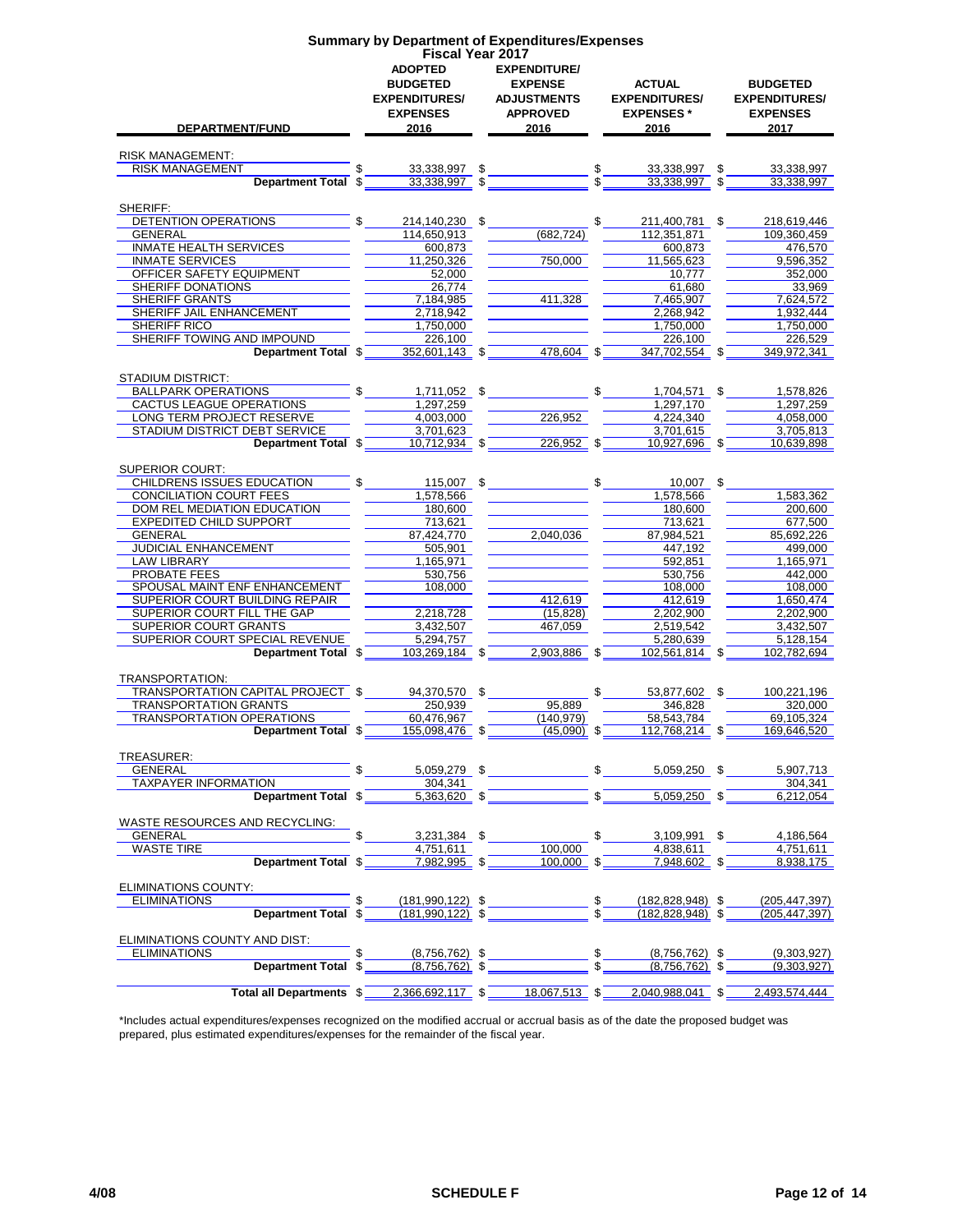|                                                                | <b>Summary by Department of Expenditures/Expenses</b>                                | <b>Fiscal Year 2017</b>                                                                |                                                                   |                                                                    |
|----------------------------------------------------------------|--------------------------------------------------------------------------------------|----------------------------------------------------------------------------------------|-------------------------------------------------------------------|--------------------------------------------------------------------|
| DEPARTMENT/FUND                                                | <b>ADOPTED</b><br><b>BUDGETED</b><br><b>EXPENDITURES/</b><br><b>EXPENSES</b><br>2016 | <b>EXPENDITURE/</b><br><b>EXPENSE</b><br><b>ADJUSTMENTS</b><br><b>APPROVED</b><br>2016 | <b>ACTUAL</b><br><b>EXPENDITURES/</b><br><b>EXPENSES*</b><br>2016 | <b>BUDGETED</b><br><b>EXPENDITURES/</b><br><b>EXPENSES</b><br>2017 |
|                                                                |                                                                                      |                                                                                        |                                                                   |                                                                    |
| <b>RISK MANAGEMENT:</b><br><b>RISK MANAGEMENT</b>              | \$<br>33,338,997                                                                     | \$                                                                                     | \$<br>33,338,997                                                  | \$<br>33,338,997                                                   |
| <b>Department Total</b>                                        | 33,338,997 \$<br>\$                                                                  |                                                                                        | \$<br>33,338,997                                                  | 33,338,997                                                         |
| SHERIFF:                                                       |                                                                                      |                                                                                        |                                                                   |                                                                    |
| DETENTION OPERATIONS                                           | \$<br>214,140,230 \$                                                                 |                                                                                        | \$<br>211,400,781 \$                                              | 218,619,446                                                        |
| <b>GENERAL</b>                                                 | 114,650,913                                                                          | (682, 724)                                                                             | 112,351,871                                                       | 109,360,459                                                        |
| <b>INMATE HEALTH SERVICES</b>                                  | 600,873                                                                              |                                                                                        | 600,873                                                           | 476,570                                                            |
| <b>INMATE SERVICES</b><br>OFFICER SAFETY EQUIPMENT             | 11,250,326<br>52,000                                                                 | 750,000                                                                                | 11,565,623<br>10,777                                              | 9,596,352<br>352,000                                               |
| SHERIFF DONATIONS                                              | 26,774                                                                               |                                                                                        | 61,680                                                            | 33,969                                                             |
| SHERIFF GRANTS                                                 | 7,184,985                                                                            | 411,328                                                                                | 7,465,907                                                         | 7,624,572                                                          |
| <b>SHERIFF JAIL ENHANCEMENT</b>                                | 2,718,942                                                                            |                                                                                        | 2,268,942                                                         | 1,932,444                                                          |
| SHERIFF RICO<br>SHERIFF TOWING AND IMPOUND                     | 1,750,000<br>226,100                                                                 |                                                                                        | 1,750,000<br>226,100                                              | 1,750,000<br>226.529                                               |
| Department Total \$                                            | 352,601,143 \$                                                                       | 478,604                                                                                | 347,702,554 \$<br>\$                                              | 349,972,341                                                        |
|                                                                |                                                                                      |                                                                                        |                                                                   |                                                                    |
| <b>STADIUM DISTRICT:</b>                                       |                                                                                      |                                                                                        |                                                                   |                                                                    |
| <b>BALLPARK OPERATIONS</b>                                     | \$<br>1,711,052 \$                                                                   |                                                                                        | \$<br>1,704,571                                                   | 1,578,826<br>\$                                                    |
| CACTUS LEAGUE OPERATIONS                                       | 1,297,259                                                                            |                                                                                        | 1,297,170                                                         | 1,297,259                                                          |
| LONG TERM PROJECT RESERVE<br>STADIUM DISTRICT DEBT SERVICE     | 4,003,000<br>3,701,623                                                               | 226,952                                                                                | 4,224,340<br>3,701,615                                            | 4,058,000<br>3,705,813                                             |
| Department Total \$                                            | 10,712,934 \$                                                                        | 226.952                                                                                | 10,927,696 \$<br>- \$                                             | 10.639.898                                                         |
|                                                                |                                                                                      |                                                                                        |                                                                   |                                                                    |
| <b>SUPERIOR COURT:</b>                                         |                                                                                      |                                                                                        |                                                                   |                                                                    |
| <b>CHILDRENS ISSUES EDUCATION</b>                              | \$<br>115,007 \$                                                                     |                                                                                        | \$<br>10.007 \$                                                   |                                                                    |
| CONCILIATION COURT FEES                                        | 1,578,566                                                                            |                                                                                        | 1,578,566                                                         | 1,583,362                                                          |
| DOM REL MEDIATION EDUCATION<br><b>EXPEDITED CHILD SUPPORT</b>  | 180,600<br>713,621                                                                   |                                                                                        | 180,600                                                           | 200,600<br>677,500                                                 |
| GENERAL                                                        | 87,424,770                                                                           | 2,040,036                                                                              | 713,621<br>87,984,521                                             | 85,692,226                                                         |
| JUDICIAL ENHANCEMENT                                           | 505,901                                                                              |                                                                                        | 447,192                                                           | 499,000                                                            |
| <b>LAW LIBRARY</b>                                             | 1,165,971                                                                            |                                                                                        | 592,851                                                           | 1,165,971                                                          |
| <b>PROBATE FEES</b>                                            | 530,756                                                                              |                                                                                        | 530,756                                                           | 442,000                                                            |
| SPOUSAL MAINT ENF ENHANCEMENT                                  | 108,000                                                                              |                                                                                        | 108,000                                                           | 108,000                                                            |
| SUPERIOR COURT BUILDING REPAIR                                 |                                                                                      | 412,619                                                                                | 412,619                                                           | 1,650,474                                                          |
| SUPERIOR COURT FILL THE GAP<br>SUPERIOR COURT GRANTS           | 2,218,728<br>3,432,507                                                               | (15, 828)<br>467,059                                                                   | 2,202,900<br>2,519,542                                            | 2,202,900<br>3,432,507                                             |
| SUPERIOR COURT SPECIAL REVENUE                                 | 5.294.757                                                                            |                                                                                        | 5.280.639                                                         | 5.128.154                                                          |
| Department Total \$                                            | 103,269,184 \$                                                                       | 2,903,886 \$                                                                           | 102,561,814 \$                                                    | 102,782,694                                                        |
|                                                                |                                                                                      |                                                                                        |                                                                   |                                                                    |
| TRANSPORTATION:                                                |                                                                                      |                                                                                        |                                                                   |                                                                    |
| TRANSPORTATION CAPITAL PROJECT<br><b>TRANSPORTATION GRANTS</b> | 94,370,570 \$<br>250.939                                                             | 95,889                                                                                 | \$<br>53,877,602 \$<br>346,828                                    | 100,221,196<br>320,000                                             |
| <b>TRANSPORTATION OPERATIONS</b>                               | 60,476,967                                                                           | (140, 979)                                                                             | 58,543,784                                                        | 69,105,324                                                         |
| Department Total \$                                            | 155,098,476                                                                          | $(45,090)$ \$                                                                          | 112,768,214                                                       | 169,646,520                                                        |
|                                                                |                                                                                      |                                                                                        |                                                                   |                                                                    |
| TREASURER:                                                     |                                                                                      |                                                                                        |                                                                   |                                                                    |
| <b>GENERAL</b>                                                 | 5,059,279 \$<br>\$                                                                   |                                                                                        | \$<br>5.059.250 \$                                                | 5,907,713                                                          |
| <b>TAXPAYER INFORMATION</b><br>Department Total \$             | 304,341<br>$5,363,620$ \$                                                            |                                                                                        | $5.059.250$ \$                                                    | 304,341<br>6,212,054                                               |
|                                                                |                                                                                      |                                                                                        |                                                                   |                                                                    |
| <b>WASTE RESOURCES AND RECYCLING:</b>                          |                                                                                      |                                                                                        |                                                                   |                                                                    |
| <b>GENERAL</b>                                                 | 3,231,384 \$<br>\$                                                                   |                                                                                        | \$<br>3,109,991 \$                                                | 4.186.564                                                          |
| <b>WASTE TIRE</b>                                              | 4,751,611                                                                            | 100.000                                                                                | 4,838,611                                                         | 4,751,611                                                          |
| Department Total \$                                            | 7,982,995 \$                                                                         | 100,000                                                                                | 7,948,602 \$<br>\$                                                | 8,938,175                                                          |
| ELIMINATIONS COUNTY:                                           |                                                                                      |                                                                                        |                                                                   |                                                                    |
| <b>ELIMINATIONS</b>                                            | \$<br>$(181, 990, 122)$ \$                                                           |                                                                                        | \$<br>$(182, 828, 948)$ \$                                        | (205, 447, 397)                                                    |
| Department Total \$                                            | $(181,990,122)$ \$                                                                   |                                                                                        | $(182, 828, 948)$ \$                                              | (205, 447, 397)                                                    |
|                                                                |                                                                                      |                                                                                        |                                                                   |                                                                    |
| ELIMINATIONS COUNTY AND DIST:                                  |                                                                                      |                                                                                        |                                                                   |                                                                    |
| <b>ELIMINATIONS</b><br><b>Department Total</b>                 | \$<br>$(8,756,762)$ \$<br>\$<br>$(8,756,762)$ \$                                     |                                                                                        | \$<br>$(8,756,762)$ \$<br>(8,756,762)                             | (9,303,927)<br>(9,303,927)                                         |
|                                                                |                                                                                      |                                                                                        |                                                                   |                                                                    |
| <b>Total all Departments \$</b>                                | 2,366,692,117 \$                                                                     | $18,067,513$ \$                                                                        | 2,040,988,041 \$                                                  | 2,493,574,444                                                      |

\*Includes actual expenditures/expenses recognized on the modified accrual or accrual basis as of the date the proposed budget was prepared, plus estimated expenditures/expenses for the remainder of the fiscal year.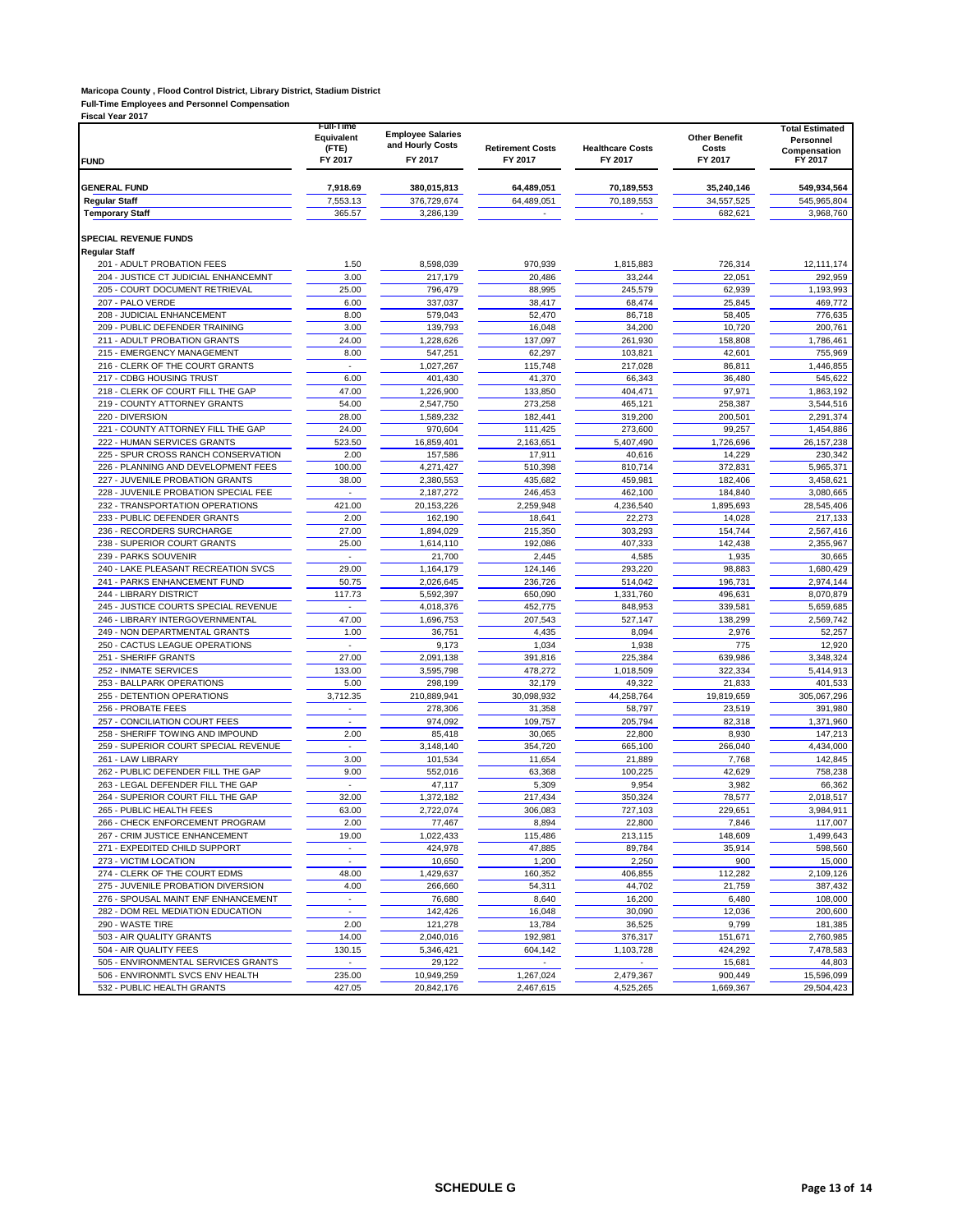#### **Maricopa County , Flood Control District, Library District, Stadium District Full-Time Employees and Personnel Compensation**

| <b>Fiscal Year 2017</b><br><b>FUND</b>                                 | Full-Time<br>Equivalent<br>(FTE)<br>FY 2017 | <b>Employee Salaries</b><br>and Hourly Costs<br>FY 2017 | <b>Retirement Costs</b><br>FY 2017 | <b>Healthcare Costs</b><br>FY 2017 | <b>Other Benefit</b><br>Costs<br>FY 2017 | <b>Total Estimated</b><br>Personnel<br>Compensation<br>FY 2017 |
|------------------------------------------------------------------------|---------------------------------------------|---------------------------------------------------------|------------------------------------|------------------------------------|------------------------------------------|----------------------------------------------------------------|
| <b>GENERAL FUND</b>                                                    | 7,918.69                                    | 380,015,813                                             | 64,489,051                         | 70,189,553                         | 35,240,146                               | 549,934,564                                                    |
| <b>Regular Staff</b>                                                   | 7,553.13                                    | 376,729,674                                             | 64,489,051                         | 70,189,553                         | 34,557,525                               | 545,965,804                                                    |
| <b>Temporary Staff</b>                                                 | 365.57                                      | 3,286,139                                               |                                    | ÷.                                 | 682,621                                  | 3,968,760                                                      |
| <b>SPECIAL REVENUE FUNDS</b><br><b>Regular Staff</b>                   |                                             |                                                         |                                    |                                    |                                          |                                                                |
| 201 - ADULT PROBATION FEES                                             | 1.50                                        | 8,598,039                                               | 970,939                            | 1,815,883                          | 726,314                                  | 12,111,174                                                     |
| 204 - JUSTICE CT JUDICIAL ENHANCEMNT<br>205 - COURT DOCUMENT RETRIEVAL | 3.00<br>25.00                               | 217.179<br>796,479                                      | 20,486<br>88,995                   | 33,244<br>245,579                  | 22,051<br>62,939                         | 292,959<br>1,193,993                                           |
| 207 - PALO VERDE                                                       | 6.00                                        | 337,037                                                 | 38,417                             | 68,474                             | 25,845                                   | 469,772                                                        |
| 208 - JUDICIAL ENHANCEMENT                                             | 8.00                                        | 579,043                                                 | 52,470                             | 86,718                             | 58,405                                   | 776,635                                                        |
| 209 - PUBLIC DEFENDER TRAINING                                         | 3.00                                        | 139,793                                                 | 16,048                             | 34,200                             | 10,720                                   | 200,761                                                        |
| 211 - ADULT PROBATION GRANTS                                           | 24.00                                       | 1,228,626                                               | 137,097                            | 261,930                            | 158,808                                  | 1,786,461                                                      |
| 215 - EMERGENCY MANAGEMENT                                             | 8.00                                        | 547,251                                                 | 62,297                             | 103,821                            | 42,601                                   | 755,969                                                        |
| 216 - CLERK OF THE COURT GRANTS                                        | ÷.                                          | 1,027,267                                               | 115,748                            | 217,028                            | 86,811                                   | 1,446,855                                                      |
| 217 - CDBG HOUSING TRUST<br>218 - CLERK OF COURT FILL THE GAP          | 6.00<br>47.00                               | 401,430<br>1,226,900                                    | 41,370<br>133,850                  | 66,343<br>404,471                  | 36,480<br>97,971                         | 545,622<br>1,863,192                                           |
| 219 - COUNTY ATTORNEY GRANTS                                           | 54.00                                       | 2,547,750                                               | 273,258                            | 465,121                            | 258,387                                  | 3,544,516                                                      |
| 220 - DIVERSION                                                        | 28.00                                       | 1,589,232                                               | 182,441                            | 319,200                            | 200,501                                  | 2,291,374                                                      |
| 221 - COUNTY ATTORNEY FILL THE GAP                                     | 24.00                                       | 970,604                                                 | 111,425                            | 273,600                            | 99,257                                   | 1,454,886                                                      |
| 222 - HUMAN SERVICES GRANTS                                            | 523.50                                      | 16,859,401                                              | 2,163,651                          | 5,407,490                          | 1,726,696                                | 26, 157, 238                                                   |
| 225 - SPUR CROSS RANCH CONSERVATION                                    | 2.00                                        | 157,586                                                 | 17,911                             | 40,616                             | 14,229                                   | 230,342                                                        |
| 226 - PLANNING AND DEVELOPMENT FEES<br>227 - JUVENILE PROBATION GRANTS | 100.00<br>38.00                             | 4,271,427                                               | 510,398                            | 810,714                            | 372,831                                  | 5,965,371<br>3,458,621                                         |
| 228 - JUVENILE PROBATION SPECIAL FEE                                   | ä,                                          | 2,380,553<br>2,187,272                                  | 435,682<br>246,453                 | 459,981<br>462,100                 | 182,406<br>184,840                       | 3,080,665                                                      |
| 232 - TRANSPORTATION OPERATIONS                                        | 421.00                                      | 20,153,226                                              | 2,259,948                          | 4,236,540                          | 1,895,693                                | 28,545,406                                                     |
| 233 - PUBLIC DEFENDER GRANTS                                           | 2.00                                        | 162,190                                                 | 18,641                             | 22,273                             | 14,028                                   | 217,133                                                        |
| 236 - RECORDERS SURCHARGE                                              | 27.00                                       | 1,894,029                                               | 215,350                            | 303,293                            | 154,744                                  | 2,567,416                                                      |
| 238 - SUPERIOR COURT GRANTS                                            | 25.00                                       | 1,614,110                                               | 192,086                            | 407,333                            | 142.438                                  | 2.355.967                                                      |
| 239 - PARKS SOUVENIR                                                   | ×                                           | 21,700                                                  | 2,445                              | 4,585                              | 1,935                                    | 30,665                                                         |
| 240 - LAKE PLEASANT RECREATION SVCS                                    | 29.00                                       | 1,164,179                                               | 124,146                            | 293,220                            | 98,883                                   | 1,680,429                                                      |
| 241 - PARKS ENHANCEMENT FUND                                           | 50.75                                       | 2,026,645                                               | 236,726                            | 514,042                            | 196,731                                  | 2,974,144                                                      |
| 244 - LIBRARY DISTRICT<br>245 - JUSTICE COURTS SPECIAL REVENUE         | 117.73<br>×,                                | 5,592,397<br>4,018,376                                  | 650,090<br>452,775                 | 1,331,760<br>848,953               | 496,631<br>339,581                       | 8,070,879<br>5,659,685                                         |
| 246 - LIBRARY INTERGOVERNMENTAL                                        | 47.00                                       | 1,696,753                                               | 207,543                            | 527,147                            | 138,299                                  | 2,569,742                                                      |
| 249 - NON DEPARTMENTAL GRANTS                                          | 1.00                                        | 36,751                                                  | 4,435                              | 8,094                              | 2,976                                    | 52,257                                                         |
| 250 - CACTUS LEAGUE OPERATIONS                                         | ×.                                          | 9,173                                                   | 1,034                              | 1,938                              | 775                                      | 12,920                                                         |
| 251 - SHERIFF GRANTS                                                   | 27.00                                       | 2,091,138                                               | 391,816                            | 225,384                            | 639,986                                  | 3,348,324                                                      |
| 252 - INMATE SERVICES                                                  | 133.00                                      | 3,595,798                                               | 478,272                            | 1,018,509                          | 322,334                                  | 5,414,913                                                      |
| 253 - BALLPARK OPERATIONS                                              | 5.00                                        | 298,199                                                 | 32,179                             | 49,322                             | 21,833                                   | 401,533                                                        |
| 255 - DETENTION OPERATIONS                                             | 3,712.35                                    | 210,889,941                                             | 30,098,932                         | 44,258,764                         | 19,819,659                               | 305,067,296                                                    |
| 256 - PROBATE FEES<br>257 - CONCILIATION COURT FEES                    | $\overline{\phantom{a}}$                    | 278,306<br>974,092                                      | 31,358                             | 58,797<br>205,794                  | 23,519<br>82,318                         | 391,980<br>1.371.960                                           |
| 258 - SHERIFF TOWING AND IMPOUND                                       | 2.00                                        | 85,418                                                  | 109,757<br>30,065                  | 22,800                             | 8,930                                    | 147,213                                                        |
| 259 - SUPERIOR COURT SPECIAL REVENUE                                   | $\overline{\phantom{a}}$                    | 3,148,140                                               | 354,720                            | 665,100                            | 266,040                                  | 4,434,000                                                      |
| 261 - LAW LIBRARY                                                      | 3.00                                        | 101,534                                                 | 11,654                             | 21,889                             | 7,768                                    | 142,845                                                        |
| 262 - PUBLIC DEFENDER FILL THE GAP                                     | 9.00                                        | 552,016                                                 | 63,368                             | 100,225                            | 42,629                                   | 758.238                                                        |
| 263 - LEGAL DEFENDER FILL THE GAP                                      | ÷.                                          | 47,117                                                  | 5,309                              | 9,954                              | 3,982                                    | 66,362                                                         |
| 264 - SUPERIOR COURT FILL THE GAP                                      | 32.00                                       | 1,372,182                                               | 217,434                            | 350,324                            | 78,577                                   | 2,018,517                                                      |
| 265 - PUBLIC HEALTH FEES                                               | 63.00                                       | 2,722,074                                               | 306,083                            | 727.103                            | 229,651                                  | 3,984,911                                                      |
| 266 - CHECK ENFORCEMENT PROGRAM                                        | 2.00                                        | 77,467                                                  | 8,894                              | 22,800                             | 7,846                                    | 117,007                                                        |
| 267 - CRIM JUSTICE ENHANCEMENT<br>271 - EXPEDITED CHILD SUPPORT        | 19.00<br>$\sim$                             | 1,022,433<br>424,978                                    | 115,486<br>47,885                  | 213,115<br>89,784                  | 148,609<br>35,914                        | 1,499,643<br>598,560                                           |
| 273 - VICTIM LOCATION                                                  |                                             | 10,650                                                  | 1,200                              | 2,250                              | 900                                      | 15,000                                                         |
| 274 - CLERK OF THE COURT EDMS                                          | 48.00                                       | 1,429,637                                               | 160,352                            | 406,855                            | 112,282                                  | 2,109,126                                                      |
| 275 - JUVENILE PROBATION DIVERSION                                     | 4.00                                        | 266,660                                                 | 54,311                             | 44,702                             | 21,759                                   | 387,432                                                        |
| 276 - SPOUSAL MAINT ENF ENHANCEMENT                                    | $\blacksquare$                              | 76,680                                                  | 8,640                              | 16,200                             | 6,480                                    | 108,000                                                        |
| 282 - DOM REL MEDIATION EDUCATION                                      | $\overline{\phantom{a}}$                    | 142,426                                                 | 16,048                             | 30,090                             | 12,036                                   | 200,600                                                        |
| 290 - WASTE TIRE                                                       | 2.00                                        | 121,278                                                 | 13,784                             | 36,525                             | 9,799                                    | 181,385                                                        |
| 503 - AIR QUALITY GRANTS                                               | 14.00                                       | 2,040,016                                               | 192,981                            | 376,317                            | 151,671                                  | 2,760,985                                                      |
| 504 - AIR QUALITY FEES                                                 | 130.15                                      | 5,346,421                                               | 604,142                            | 1,103,728                          | 424,292                                  | 7,478,583                                                      |
| 505 - ENVIRONMENTAL SERVICES GRANTS                                    | ÷,                                          | 29,122                                                  |                                    |                                    | 15,681                                   | 44,803                                                         |
| 506 - ENVIRONMTL SVCS ENV HEALTH                                       | 235.00                                      | 10,949,259                                              | 1,267,024                          | 2,479,367                          | 900,449                                  | 15,596,099                                                     |
| 532 - PUBLIC HEALTH GRANTS                                             | 427.05                                      | 20,842,176                                              | 2,467,615                          | 4,525,265                          | 1,669,367                                | 29,504,423                                                     |